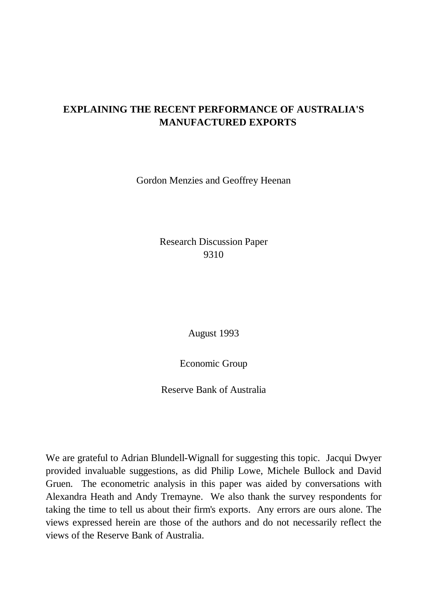## **EXPLAINING THE RECENT PERFORMANCE OF AUSTRALIA'S MANUFACTURED EXPORTS**

Gordon Menzies and Geoffrey Heenan

Research Discussion Paper 9310

August 1993

Economic Group

Reserve Bank of Australia

We are grateful to Adrian Blundell-Wignall for suggesting this topic. Jacqui Dwyer provided invaluable suggestions, as did Philip Lowe, Michele Bullock and David Gruen. The econometric analysis in this paper was aided by conversations with Alexandra Heath and Andy Tremayne. We also thank the survey respondents for taking the time to tell us about their firm's exports. Any errors are ours alone. The views expressed herein are those of the authors and do not necessarily reflect the views of the Reserve Bank of Australia.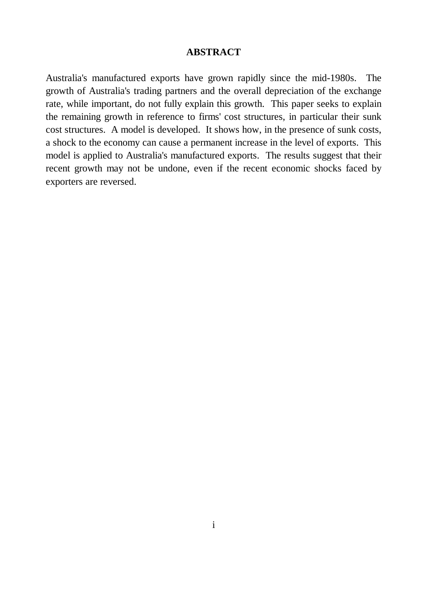#### **ABSTRACT**

Australia's manufactured exports have grown rapidly since the mid-1980s. The growth of Australia's trading partners and the overall depreciation of the exchange rate, while important, do not fully explain this growth. This paper seeks to explain the remaining growth in reference to firms' cost structures, in particular their sunk cost structures. A model is developed. It shows how, in the presence of sunk costs, a shock to the economy can cause a permanent increase in the level of exports. This model is applied to Australia's manufactured exports. The results suggest that their recent growth may not be undone, even if the recent economic shocks faced by exporters are reversed.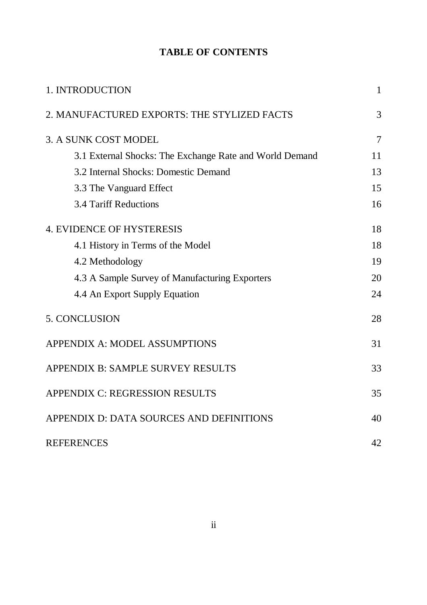## **TABLE OF CONTENTS**

| 1. INTRODUCTION                                         | $\mathbf{1}$   |
|---------------------------------------------------------|----------------|
| 2. MANUFACTURED EXPORTS: THE STYLIZED FACTS             | 3              |
| 3. A SUNK COST MODEL                                    | $\overline{7}$ |
| 3.1 External Shocks: The Exchange Rate and World Demand | 11             |
| 3.2 Internal Shocks: Domestic Demand                    | 13             |
| 3.3 The Vanguard Effect                                 | 15             |
| <b>3.4 Tariff Reductions</b>                            | 16             |
| <b>4. EVIDENCE OF HYSTERESIS</b>                        | 18             |
| 4.1 History in Terms of the Model                       | 18             |
| 4.2 Methodology                                         | 19             |
| 4.3 A Sample Survey of Manufacturing Exporters          | 20             |
| 4.4 An Export Supply Equation                           | 24             |
| 5. CONCLUSION                                           | 28             |
| <b>APPENDIX A: MODEL ASSUMPTIONS</b>                    | 31             |
| APPENDIX B: SAMPLE SURVEY RESULTS                       | 33             |
| <b>APPENDIX C: REGRESSION RESULTS</b>                   | 35             |
| APPENDIX D: DATA SOURCES AND DEFINITIONS                | 40             |
| <b>REFERENCES</b>                                       | 42             |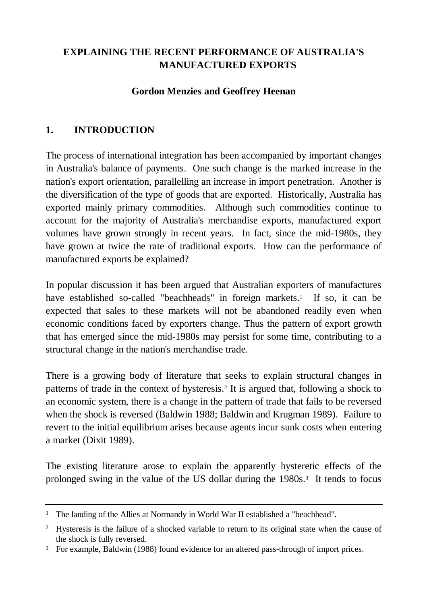## **EXPLAINING THE RECENT PERFORMANCE OF AUSTRALIA'S MANUFACTURED EXPORTS**

### **Gordon Menzies and Geoffrey Heenan**

## **1. INTRODUCTION**

The process of international integration has been accompanied by important changes in Australia's balance of payments. One such change is the marked increase in the nation's export orientation, parallelling an increase in import penetration. Another is the diversification of the type of goods that are exported. Historically, Australia has exported mainly primary commodities. Although such commodities continue to account for the majority of Australia's merchandise exports, manufactured export volumes have grown strongly in recent years. In fact, since the mid-1980s, they have grown at twice the rate of traditional exports. How can the performance of manufactured exports be explained?

In popular discussion it has been argued that Australian exporters of manufactures have established so-called "beachheads" in foreign markets.<sup>1</sup> If so, it can be expected that sales to these markets will not be abandoned readily even when economic conditions faced by exporters change. Thus the pattern of export growth that has emerged since the mid-1980s may persist for some time, contributing to a structural change in the nation's merchandise trade.

There is a growing body of literature that seeks to explain structural changes in patterns of trade in the context of hysteresis.<sup>2</sup> It is argued that, following a shock to an economic system, there is a change in the pattern of trade that fails to be reversed when the shock is reversed (Baldwin 1988; Baldwin and Krugman 1989). Failure to revert to the initial equilibrium arises because agents incur sunk costs when entering a market (Dixit 1989).

The existing literature arose to explain the apparently hysteretic effects of the prolonged swing in the value of the US dollar during the 1980s.<sup>3</sup> It tends to focus

<sup>&</sup>lt;sup>1</sup> The landing of the Allies at Normandy in World War II established a "beachhead".

<sup>&</sup>lt;sup>2</sup> Hysteresis is the failure of a shocked variable to return to its original state when the cause of the shock is fully reversed.

<sup>&</sup>lt;sup>3</sup> For example, Baldwin (1988) found evidence for an altered pass-through of import prices.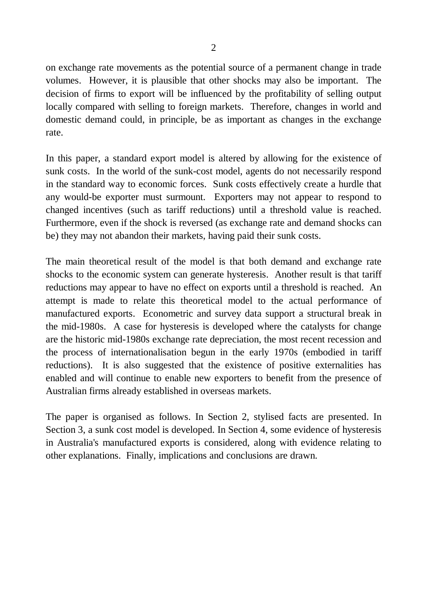on exchange rate movements as the potential source of a permanent change in trade volumes. However, it is plausible that other shocks may also be important. The decision of firms to export will be influenced by the profitability of selling output locally compared with selling to foreign markets. Therefore, changes in world and domestic demand could, in principle, be as important as changes in the exchange rate.

In this paper, a standard export model is altered by allowing for the existence of sunk costs. In the world of the sunk-cost model, agents do not necessarily respond in the standard way to economic forces. Sunk costs effectively create a hurdle that any would-be exporter must surmount. Exporters may not appear to respond to changed incentives (such as tariff reductions) until a threshold value is reached. Furthermore, even if the shock is reversed (as exchange rate and demand shocks can be) they may not abandon their markets, having paid their sunk costs.

The main theoretical result of the model is that both demand and exchange rate shocks to the economic system can generate hysteresis. Another result is that tariff reductions may appear to have no effect on exports until a threshold is reached. An attempt is made to relate this theoretical model to the actual performance of manufactured exports. Econometric and survey data support a structural break in the mid-1980s. A case for hysteresis is developed where the catalysts for change are the historic mid-1980s exchange rate depreciation, the most recent recession and the process of internationalisation begun in the early 1970s (embodied in tariff reductions). It is also suggested that the existence of positive externalities has enabled and will continue to enable new exporters to benefit from the presence of Australian firms already established in overseas markets.

The paper is organised as follows. In Section 2, stylised facts are presented. In Section 3, a sunk cost model is developed. In Section 4, some evidence of hysteresis in Australia's manufactured exports is considered, along with evidence relating to other explanations. Finally, implications and conclusions are drawn.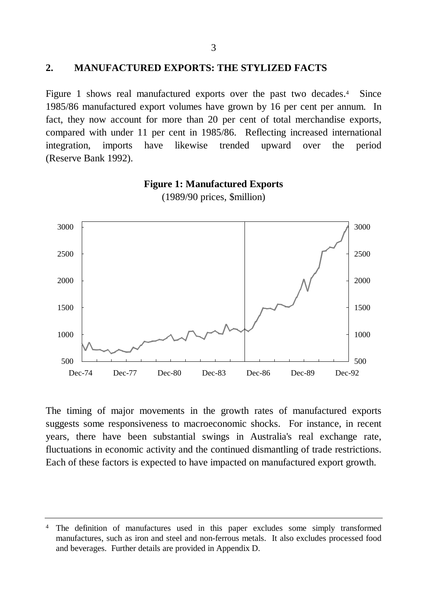#### **2. MANUFACTURED EXPORTS: THE STYLIZED FACTS**

Figure 1 shows real manufactured exports over the past two decades.<sup>4</sup> Since 1985/86 manufactured export volumes have grown by 16 per cent per annum. In fact, they now account for more than 20 per cent of total merchandise exports, compared with under 11 per cent in 1985/86. Reflecting increased international integration, imports have likewise trended upward over the period (Reserve Bank 1992).



**Figure 1: Manufactured Exports**

The timing of major movements in the growth rates of manufactured exports suggests some responsiveness to macroeconomic shocks. For instance, in recent years, there have been substantial swings in Australia's real exchange rate, fluctuations in economic activity and the continued dismantling of trade restrictions. Each of these factors is expected to have impacted on manufactured export growth.

<sup>4</sup> The definition of manufactures used in this paper excludes some simply transformed manufactures, such as iron and steel and non-ferrous metals. It also excludes processed food and beverages. Further details are provided in Appendix D.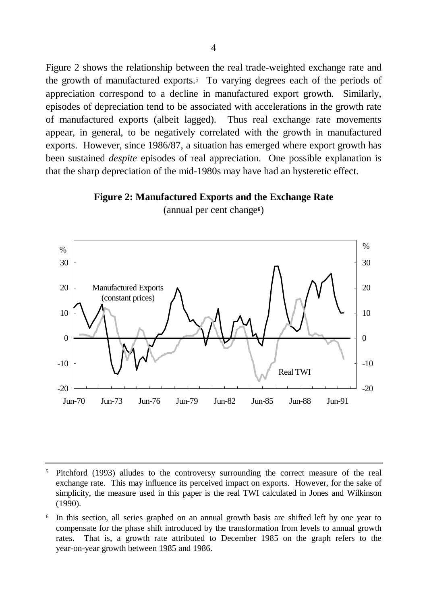Figure 2 shows the relationship between the real trade-weighted exchange rate and the growth of manufactured exports.<sup>5</sup> To varying degrees each of the periods of appreciation correspond to a decline in manufactured export growth. Similarly, episodes of depreciation tend to be associated with accelerations in the growth rate of manufactured exports (albeit lagged). Thus real exchange rate movements appear, in general, to be negatively correlated with the growth in manufactured exports. However, since 1986/87, a situation has emerged where export growth has been sustained *despite* episodes of real appreciation. One possible explanation is that the sharp depreciation of the mid-1980s may have had an hysteretic effect.

#### **Figure 2: Manufactured Exports and the Exchange Rate**



(annual per cent change**6**)

<sup>5</sup> Pitchford (1993) alludes to the controversy surrounding the correct measure of the real exchange rate. This may influence its perceived impact on exports. However, for the sake of simplicity, the measure used in this paper is the real TWI calculated in Jones and Wilkinson (1990).

6 In this section, all series graphed on an annual growth basis are shifted left by one year to compensate for the phase shift introduced by the transformation from levels to annual growth rates. That is, a growth rate attributed to December 1985 on the graph refers to the year-on-year growth between 1985 and 1986.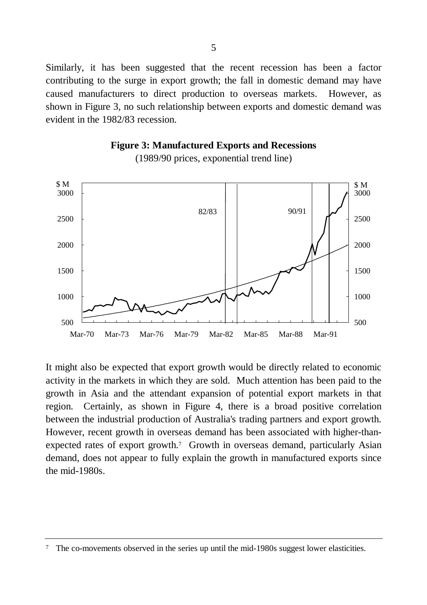Similarly, it has been suggested that the recent recession has been a factor contributing to the surge in export growth; the fall in domestic demand may have caused manufacturers to direct production to overseas markets. However, as shown in Figure 3, no such relationship between exports and domestic demand was evident in the 1982/83 recession.

**Figure 3: Manufactured Exports and Recessions**



(1989/90 prices, exponential trend line)

It might also be expected that export growth would be directly related to economic activity in the markets in which they are sold. Much attention has been paid to the growth in Asia and the attendant expansion of potential export markets in that region. Certainly, as shown in Figure 4, there is a broad positive correlation between the industrial production of Australia's trading partners and export growth. However, recent growth in overseas demand has been associated with higher-thanexpected rates of export growth.<sup>7</sup> Growth in overseas demand, particularly Asian demand, does not appear to fully explain the growth in manufactured exports since the mid-1980s.

The co-movements observed in the series up until the mid-1980s suggest lower elasticities.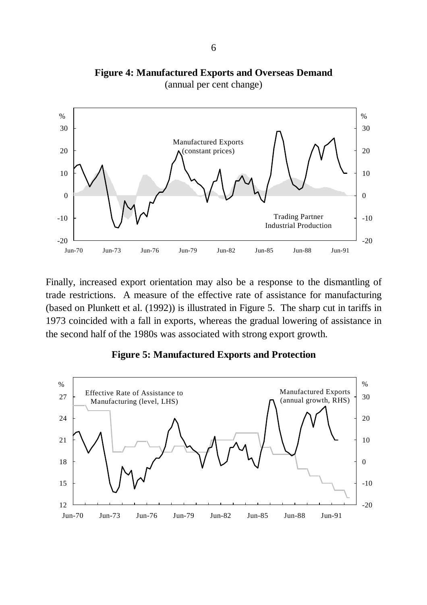# **Figure 4: Manufactured Exports and Overseas Demand**



(annual per cent change)

Finally, increased export orientation may also be a response to the dismantling of trade restrictions. A measure of the effective rate of assistance for manufacturing (based on Plunkett et al. (1992)) is illustrated in Figure 5. The sharp cut in tariffs in 1973 coincided with a fall in exports, whereas the gradual lowering of assistance in the second half of the 1980s was associated with strong export growth.



#### **Figure 5: Manufactured Exports and Protection**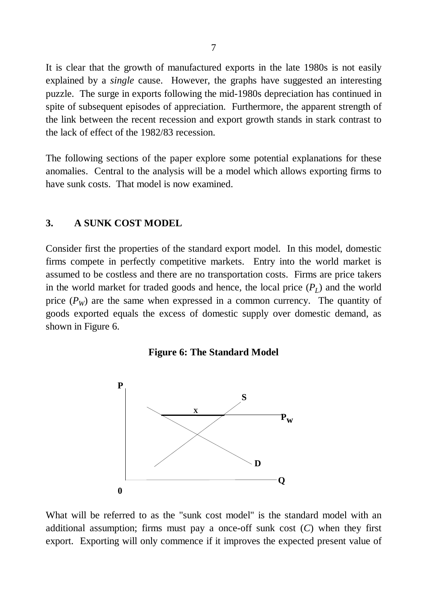It is clear that the growth of manufactured exports in the late 1980s is not easily explained by a *single* cause. However, the graphs have suggested an interesting puzzle. The surge in exports following the mid-1980s depreciation has continued in spite of subsequent episodes of appreciation. Furthermore, the apparent strength of the link between the recent recession and export growth stands in stark contrast to the lack of effect of the 1982/83 recession.

The following sections of the paper explore some potential explanations for these anomalies. Central to the analysis will be a model which allows exporting firms to have sunk costs. That model is now examined.

#### **3. A SUNK COST MODEL**

Consider first the properties of the standard export model. In this model, domestic firms compete in perfectly competitive markets. Entry into the world market is assumed to be costless and there are no transportation costs. Firms are price takers in the world market for traded goods and hence, the local price (*P<sup>L</sup>* ) and the world price  $(P_W)$  are the same when expressed in a common currency. The quantity of goods exported equals the excess of domestic supply over domestic demand, as shown in Figure 6.





What will be referred to as the "sunk cost model" is the standard model with an additional assumption; firms must pay a once-off sunk cost (*C*) when they first export. Exporting will only commence if it improves the expected present value of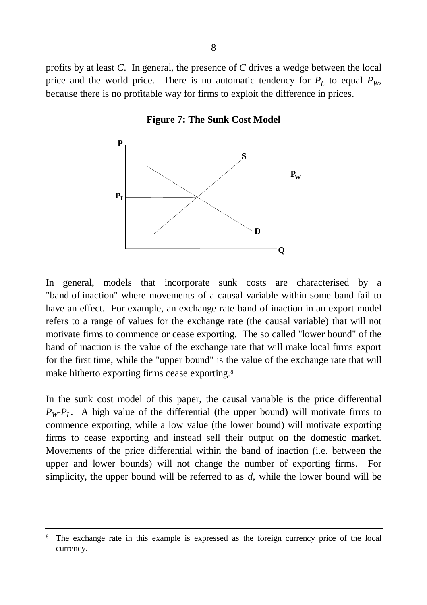profits by at least *C*. In general, the presence of *C* drives a wedge between the local price and the world price. There is no automatic tendency for  $P_L$  to equal  $P_W$ , because there is no profitable way for firms to exploit the difference in prices.

#### **Figure 7: The Sunk Cost Model**



In general, models that incorporate sunk costs are characterised by a "band of inaction" where movements of a causal variable within some band fail to have an effect. For example, an exchange rate band of inaction in an export model refers to a range of values for the exchange rate (the causal variable) that will not motivate firms to commence or cease exporting. The so called "lower bound" of the band of inaction is the value of the exchange rate that will make local firms export for the first time, while the "upper bound" is the value of the exchange rate that will make hitherto exporting firms cease exporting.<sup>8</sup>

In the sunk cost model of this paper, the causal variable is the price differential  $P_W$ <sup> $P_L$ </sup>. A high value of the differential (the upper bound) will motivate firms to commence exporting, while a low value (the lower bound) will motivate exporting firms to cease exporting and instead sell their output on the domestic market. Movements of the price differential within the band of inaction (i.e. between the upper and lower bounds) will not change the number of exporting firms. For simplicity, the upper bound will be referred to as *d*, while the lower bound will be

The exchange rate in this example is expressed as the foreign currency price of the local currency.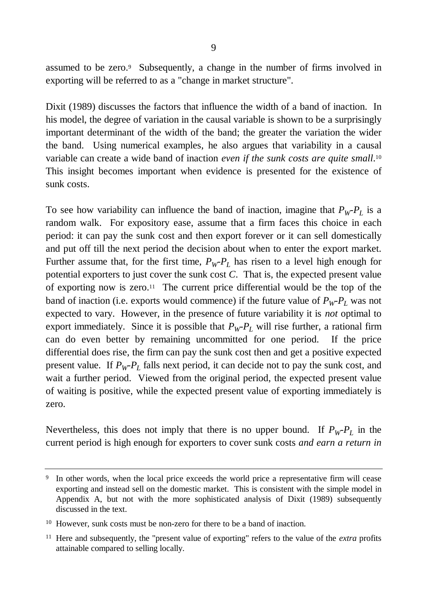assumed to be zero.<sup>9</sup> Subsequently, a change in the number of firms involved in exporting will be referred to as a "change in market structure".

Dixit (1989) discusses the factors that influence the width of a band of inaction. In his model, the degree of variation in the causal variable is shown to be a surprisingly important determinant of the width of the band; the greater the variation the wider the band. Using numerical examples, he also argues that variability in a causal variable can create a wide band of inaction *even if the sunk costs are quite small*. 10 This insight becomes important when evidence is presented for the existence of sunk costs.

To see how variability can influence the band of inaction, imagine that  $P_W P_L$  is a random walk. For expository ease, assume that a firm faces this choice in each period: it can pay the sunk cost and then export forever or it can sell domestically and put off till the next period the decision about when to enter the export market. Further assume that, for the first time,  $P_WP_L$  has risen to a level high enough for potential exporters to just cover the sunk cost *C*. That is, the expected present value of exporting now is zero.<sup>11</sup> The current price differential would be the top of the band of inaction (i.e. exports would commence) if the future value of  $P_WP_L$  was not expected to vary. However, in the presence of future variability it is *not* optimal to export immediately. Since it is possible that  $P_W - P_L$  will rise further, a rational firm can do even better by remaining uncommitted for one period. If the price differential does rise, the firm can pay the sunk cost then and get a positive expected present value. If *PW-P<sup>L</sup>* falls next period, it can decide not to pay the sunk cost, and wait a further period. Viewed from the original period, the expected present value of waiting is positive, while the expected present value of exporting immediately is zero.

Nevertheless, this does not imply that there is no upper bound. If  $P_W \cdot P_L$  in the current period is high enough for exporters to cover sunk costs *and earn a return in*

<sup>&</sup>lt;sup>9</sup> In other words, when the local price exceeds the world price a representative firm will cease exporting and instead sell on the domestic market. This is consistent with the simple model in Appendix A, but not with the more sophisticated analysis of Dixit (1989) subsequently discussed in the text.

<sup>&</sup>lt;sup>10</sup> However, sunk costs must be non-zero for there to be a band of inaction.

<sup>11</sup> Here and subsequently, the "present value of exporting" refers to the value of the *extra* profits attainable compared to selling locally.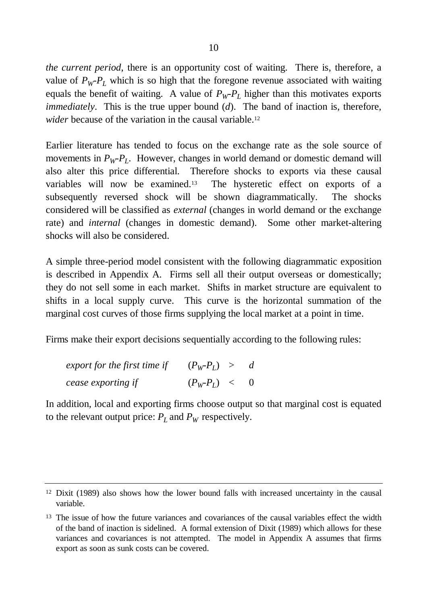*the current period*, there is an opportunity cost of waiting. There is, therefore, a value of  $P_W P_L$  which is so high that the foregone revenue associated with waiting equals the benefit of waiting. A value of  $P_W P_L$  higher than this motivates exports *immediately*. This is the true upper bound (*d*). The band of inaction is, therefore, *wider* because of the variation in the causal variable.<sup>12</sup>

Earlier literature has tended to focus on the exchange rate as the sole source of movements in  $P_WP_L$ . However, changes in world demand or domestic demand will also alter this price differential. Therefore shocks to exports via these causal variables will now be examined.13 The hysteretic effect on exports of a subsequently reversed shock will be shown diagrammatically. The shocks considered will be classified as *external* (changes in world demand or the exchange rate) and *internal* (changes in domestic demand). Some other market-altering shocks will also be considered.

A simple three-period model consistent with the following diagrammatic exposition is described in Appendix A. Firms sell all their output overseas or domestically; they do not sell some in each market. Shifts in market structure are equivalent to shifts in a local supply curve. This curve is the horizontal summation of the marginal cost curves of those firms supplying the local market at a point in time.

Firms make their export decisions sequentially according to the following rules:

| export for the first time if | $(P_W - P_L) >$ | $\overline{d}$ |
|------------------------------|-----------------|----------------|
| cease exporting if           | $(P_W-P_L) < 0$ |                |

In addition, local and exporting firms choose output so that marginal cost is equated to the relevant output price:  $P_L$  and  $P_W$  respectively.

<sup>12</sup> Dixit (1989) also shows how the lower bound falls with increased uncertainty in the causal variable.

<sup>&</sup>lt;sup>13</sup> The issue of how the future variances and covariances of the causal variables effect the width of the band of inaction is sidelined. A formal extension of Dixit (1989) which allows for these variances and covariances is not attempted. The model in Appendix A assumes that firms export as soon as sunk costs can be covered.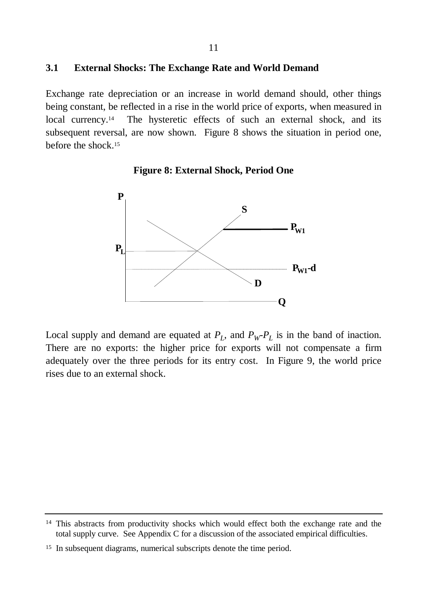#### **3.1 External Shocks: The Exchange Rate and World Demand**

Exchange rate depreciation or an increase in world demand should, other things being constant, be reflected in a rise in the world price of exports, when measured in local currency.<sup>14</sup> The hysteretic effects of such an external shock, and its subsequent reversal, are now shown. Figure 8 shows the situation in period one, before the shock.<sup>15</sup>





Local supply and demand are equated at  $P_L$ , and  $P_W P_L$  is in the band of inaction. There are no exports: the higher price for exports will not compensate a firm adequately over the three periods for its entry cost. In Figure 9, the world price rises due to an external shock.

<sup>&</sup>lt;sup>14</sup> This abstracts from productivity shocks which would effect both the exchange rate and the total supply curve. See Appendix C for a discussion of the associated empirical difficulties.

<sup>&</sup>lt;sup>15</sup> In subsequent diagrams, numerical subscripts denote the time period.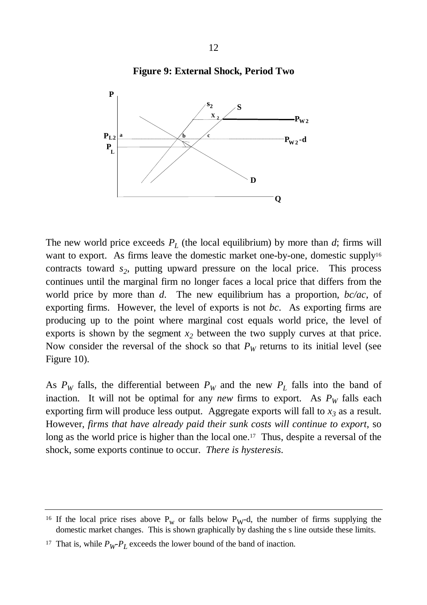

#### **Figure 9: External Shock, Period Two**

The new world price exceeds  $P_L$  (the local equilibrium) by more than  $d$ ; firms will want to export. As firms leave the domestic market one-by-one, domestic supply<sup>16</sup> contracts toward *s<sup>2</sup>* , putting upward pressure on the local price. This process continues until the marginal firm no longer faces a local price that differs from the world price by more than *d*. The new equilibrium has a proportion, *bc/ac*, of exporting firms. However, the level of exports is not *bc*. As exporting firms are producing up to the point where marginal cost equals world price, the level of exports is shown by the segment  $x_2$  between the two supply curves at that price. Now consider the reversal of the shock so that  $P_W$  returns to its initial level (see Figure 10).

As  $P_W$  falls, the differential between  $P_W$  and the new  $P_L$  falls into the band of inaction. It will not be optimal for any *new* firms to export. As  $P_W$  falls each exporting firm will produce less output. Aggregate exports will fall to  $x_3$  as a result. However, *firms that have already paid their sunk costs will continue to export*, so long as the world price is higher than the local one.<sup>17</sup> Thus, despite a reversal of the shock, some exports continue to occur. *There is hysteresis.*

<sup>&</sup>lt;sup>16</sup> If the local price rises above  $P_w$  or falls below  $P_w$ -d, the number of firms supplying the domestic market changes. This is shown graphically by dashing the s line outside these limits.

<sup>&</sup>lt;sup>17</sup> That is, while  $P_W P_L$  exceeds the lower bound of the band of inaction.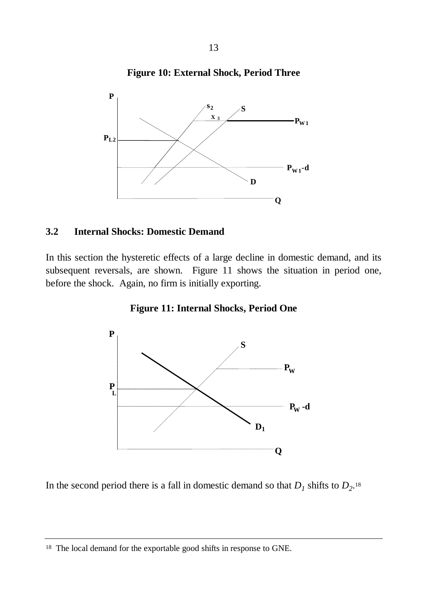



#### **3.2 Internal Shocks: Domestic Demand**

In this section the hysteretic effects of a large decline in domestic demand, and its subsequent reversals, are shown. Figure 11 shows the situation in period one, before the shock. Again, no firm is initially exporting.





In the second period there is a fall in domestic demand so that  $D_1$  shifts to  $D_2$ <sup>18</sup>

<sup>&</sup>lt;sup>18</sup> The local demand for the exportable good shifts in response to GNE.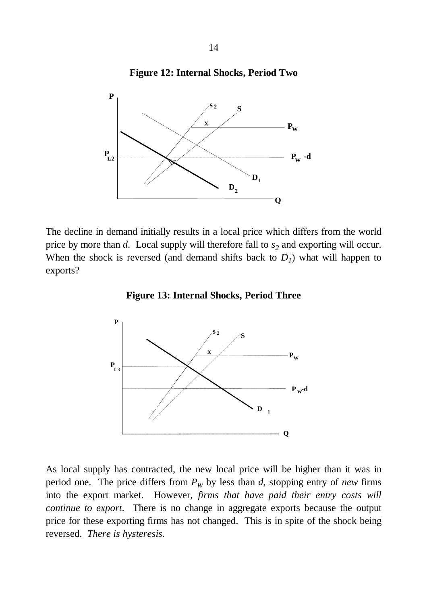



The decline in demand initially results in a local price which differs from the world price by more than *d*. Local supply will therefore fall to *s<sup>2</sup>* and exporting will occur. When the shock is reversed (and demand shifts back to  $D<sub>I</sub>$ ) what will happen to exports?





As local supply has contracted, the new local price will be higher than it was in period one. The price differs from  $P_W$  by less than *d*, stopping entry of *new* firms into the export market. However, *firms that have paid their entry costs will continue to export*. There is no change in aggregate exports because the output price for these exporting firms has not changed. This is in spite of the shock being reversed. *There is hysteresis.*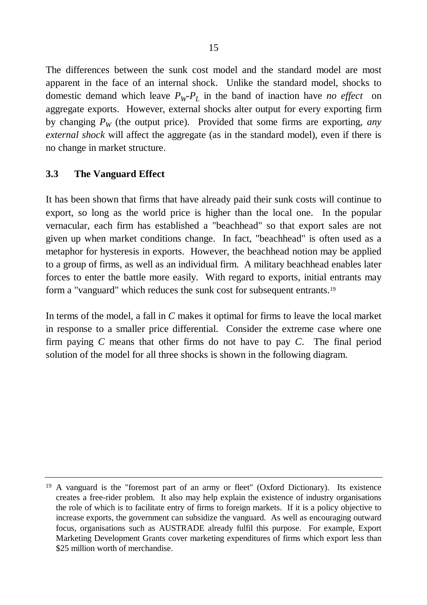The differences between the sunk cost model and the standard model are most apparent in the face of an internal shock. Unlike the standard model, shocks to domestic demand which leave  $P_W P_L$  in the band of inaction have *no effect* on aggregate exports. However, external shocks alter output for every exporting firm by changing  $P_W$  (the output price). Provided that some firms are exporting, *any external shock* will affect the aggregate (as in the standard model), even if there is no change in market structure.

### **3.3 The Vanguard Effect**

It has been shown that firms that have already paid their sunk costs will continue to export, so long as the world price is higher than the local one. In the popular vernacular, each firm has established a "beachhead" so that export sales are not given up when market conditions change. In fact, "beachhead" is often used as a metaphor for hysteresis in exports. However, the beachhead notion may be applied to a group of firms, as well as an individual firm. A military beachhead enables later forces to enter the battle more easily. With regard to exports, initial entrants may form a "vanguard" which reduces the sunk cost for subsequent entrants.<sup>19</sup>

In terms of the model, a fall in *C* makes it optimal for firms to leave the local market in response to a smaller price differential. Consider the extreme case where one firm paying *C* means that other firms do not have to pay *C*. The final period solution of the model for all three shocks is shown in the following diagram.

<sup>19</sup> A vanguard is the "foremost part of an army or fleet" (Oxford Dictionary). Its existence creates a free-rider problem. It also may help explain the existence of industry organisations the role of which is to facilitate entry of firms to foreign markets. If it is a policy objective to increase exports, the government can subsidize the vanguard. As well as encouraging outward focus, organisations such as AUSTRADE already fulfil this purpose. For example, Export Marketing Development Grants cover marketing expenditures of firms which export less than \$25 million worth of merchandise.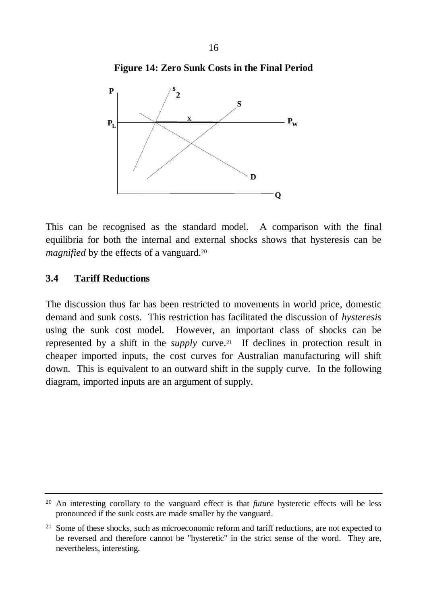



This can be recognised as the standard model. A comparison with the final equilibria for both the internal and external shocks shows that hysteresis can be *magnified* by the effects of a vanguard.<sup>20</sup>

#### **3.4 Tariff Reductions**

The discussion thus far has been restricted to movements in world price, domestic demand and sunk costs. This restriction has facilitated the discussion of *hysteresis* using the sunk cost model. However, an important class of shocks can be represented by a shift in the *supply* curve.21 If declines in protection result in cheaper imported inputs, the cost curves for Australian manufacturing will shift down. This is equivalent to an outward shift in the supply curve. In the following diagram, imported inputs are an argument of supply.

<sup>20</sup> An interesting corollary to the vanguard effect is that *future* hysteretic effects will be less pronounced if the sunk costs are made smaller by the vanguard.

<sup>&</sup>lt;sup>21</sup> Some of these shocks, such as microeconomic reform and tariff reductions, are not expected to be reversed and therefore cannot be "hysteretic" in the strict sense of the word. They are, nevertheless, interesting.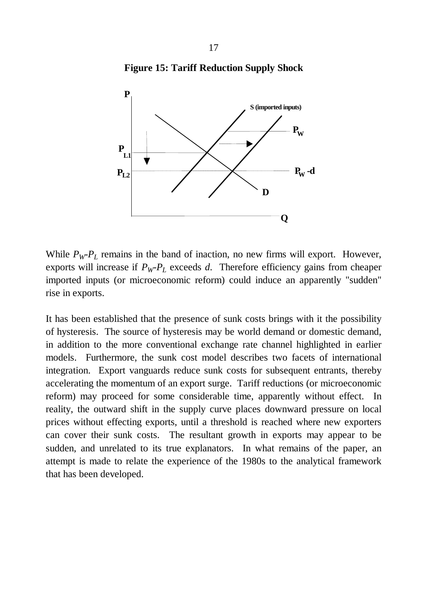



While  $P_W P_L$  remains in the band of inaction, no new firms will export. However, exports will increase if  $P_WP_L$  exceeds *d*. Therefore efficiency gains from cheaper imported inputs (or microeconomic reform) could induce an apparently "sudden" rise in exports.

It has been established that the presence of sunk costs brings with it the possibility of hysteresis. The source of hysteresis may be world demand or domestic demand, in addition to the more conventional exchange rate channel highlighted in earlier models. Furthermore, the sunk cost model describes two facets of international integration. Export vanguards reduce sunk costs for subsequent entrants, thereby accelerating the momentum of an export surge. Tariff reductions (or microeconomic reform) may proceed for some considerable time, apparently without effect. In reality, the outward shift in the supply curve places downward pressure on local prices without effecting exports, until a threshold is reached where new exporters can cover their sunk costs. The resultant growth in exports may appear to be sudden, and unrelated to its true explanators. In what remains of the paper, an attempt is made to relate the experience of the 1980s to the analytical framework that has been developed.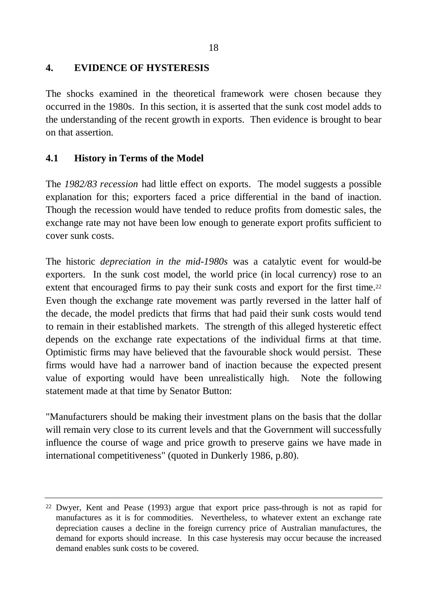#### **4. EVIDENCE OF HYSTERESIS**

The shocks examined in the theoretical framework were chosen because they occurred in the 1980s. In this section, it is asserted that the sunk cost model adds to the understanding of the recent growth in exports. Then evidence is brought to bear on that assertion.

### **4.1 History in Terms of the Model**

The *1982/83 recession* had little effect on exports. The model suggests a possible explanation for this; exporters faced a price differential in the band of inaction. Though the recession would have tended to reduce profits from domestic sales, the exchange rate may not have been low enough to generate export profits sufficient to cover sunk costs.

The historic *depreciation in the mid-1980s* was a catalytic event for would-be exporters. In the sunk cost model, the world price (in local currency) rose to an extent that encouraged firms to pay their sunk costs and export for the first time.<sup>22</sup> Even though the exchange rate movement was partly reversed in the latter half of the decade, the model predicts that firms that had paid their sunk costs would tend to remain in their established markets. The strength of this alleged hysteretic effect depends on the exchange rate expectations of the individual firms at that time. Optimistic firms may have believed that the favourable shock would persist. These firms would have had a narrower band of inaction because the expected present value of exporting would have been unrealistically high. Note the following statement made at that time by Senator Button:

"Manufacturers should be making their investment plans on the basis that the dollar will remain very close to its current levels and that the Government will successfully influence the course of wage and price growth to preserve gains we have made in international competitiveness" (quoted in Dunkerly 1986, p.80).

<sup>22</sup> Dwyer, Kent and Pease (1993) argue that export price pass-through is not as rapid for manufactures as it is for commodities. Nevertheless, to whatever extent an exchange rate depreciation causes a decline in the foreign currency price of Australian manufactures, the demand for exports should increase. In this case hysteresis may occur because the increased demand enables sunk costs to be covered.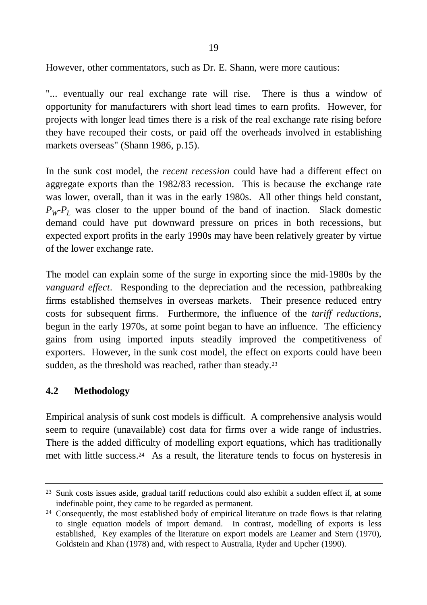However, other commentators, such as Dr. E. Shann, were more cautious:

"... eventually our real exchange rate will rise. There is thus a window of opportunity for manufacturers with short lead times to earn profits. However, for projects with longer lead times there is a risk of the real exchange rate rising before they have recouped their costs, or paid off the overheads involved in establishing markets overseas" (Shann 1986, p.15).

In the sunk cost model, the *recent recession* could have had a different effect on aggregate exports than the 1982/83 recession. This is because the exchange rate was lower, overall, than it was in the early 1980s. All other things held constant,  $P_W P_L$  was closer to the upper bound of the band of inaction. Slack domestic demand could have put downward pressure on prices in both recessions, but expected export profits in the early 1990s may have been relatively greater by virtue of the lower exchange rate.

The model can explain some of the surge in exporting since the mid-1980s by the *vanguard effect*. Responding to the depreciation and the recession, pathbreaking firms established themselves in overseas markets. Their presence reduced entry costs for subsequent firms. Furthermore, the influence of the *tariff reductions*, begun in the early 1970s, at some point began to have an influence. The efficiency gains from using imported inputs steadily improved the competitiveness of exporters. However, in the sunk cost model, the effect on exports could have been sudden, as the threshold was reached, rather than steady.<sup>23</sup>

### **4.2 Methodology**

Empirical analysis of sunk cost models is difficult. A comprehensive analysis would seem to require (unavailable) cost data for firms over a wide range of industries. There is the added difficulty of modelling export equations, which has traditionally met with little success.24 As a result, the literature tends to focus on hysteresis in

<sup>23</sup> Sunk costs issues aside, gradual tariff reductions could also exhibit a sudden effect if, at some indefinable point, they came to be regarded as permanent.

<sup>&</sup>lt;sup>24</sup> Consequently, the most established body of empirical literature on trade flows is that relating to single equation models of import demand. In contrast, modelling of exports is less established, Key examples of the literature on export models are Leamer and Stern (1970), Goldstein and Khan (1978) and, with respect to Australia, Ryder and Upcher (1990).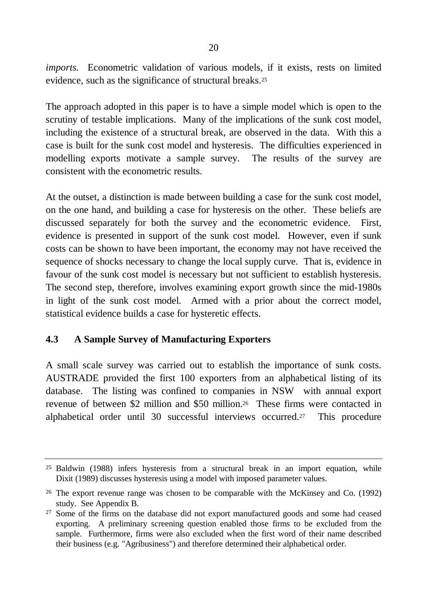*imports.* Econometric validation of various models, if it exists, rests on limited evidence, such as the significance of structural breaks.<sup>25</sup>

The approach adopted in this paper is to have a simple model which is open to the scrutiny of testable implications. Many of the implications of the sunk cost model, including the existence of a structural break, are observed in the data. With this a case is built for the sunk cost model and hysteresis. The difficulties experienced in modelling exports motivate a sample survey. The results of the survey are consistent with the econometric results.

At the outset, a distinction is made between building a case for the sunk cost model, on the one hand, and building a case for hysteresis on the other. These beliefs are discussed separately for both the survey and the econometric evidence. First, evidence is presented in support of the sunk cost model. However, even if sunk costs can be shown to have been important, the economy may not have received the sequence of shocks necessary to change the local supply curve. That is, evidence in favour of the sunk cost model is necessary but not sufficient to establish hysteresis. The second step, therefore, involves examining export growth since the mid-1980s in light of the sunk cost model. Armed with a prior about the correct model, statistical evidence builds a case for hysteretic effects.

## **4.3 A Sample Survey of Manufacturing Exporters**

A small scale survey was carried out to establish the importance of sunk costs. AUSTRADE provided the first 100 exporters from an alphabetical listing of its database. The listing was confined to companies in NSW with annual export revenue of between \$2 million and \$50 million.26 These firms were contacted in alphabetical order until 30 successful interviews occurred.27 This procedure

<sup>25</sup> Baldwin (1988) infers hysteresis from a structural break in an import equation, while Dixit (1989) discusses hysteresis using a model with imposed parameter values.

<sup>26</sup> The export revenue range was chosen to be comparable with the McKinsey and Co. (1992) study. See Appendix B.

<sup>27</sup> Some of the firms on the database did not export manufactured goods and some had ceased exporting. A preliminary screening question enabled those firms to be excluded from the sample. Furthermore, firms were also excluded when the first word of their name described their business (e.g. "Agribusiness") and therefore determined their alphabetical order.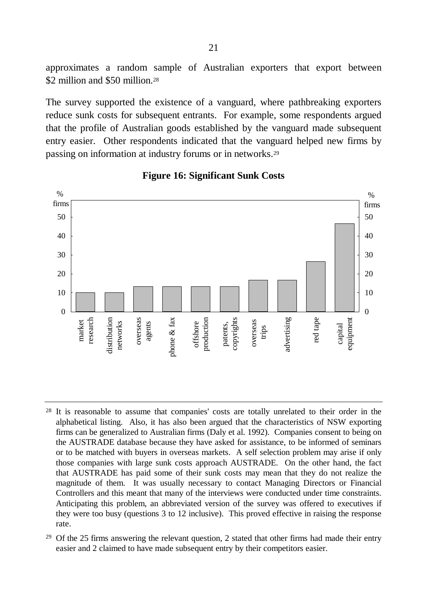approximates a random sample of Australian exporters that export between \$2 million and \$50 million.<sup>28</sup>

The survey supported the existence of a vanguard, where pathbreaking exporters reduce sunk costs for subsequent entrants. For example, some respondents argued that the profile of Australian goods established by the vanguard made subsequent entry easier. Other respondents indicated that the vanguard helped new firms by passing on information at industry forums or in networks.<sup>29</sup>



#### **Figure 16: Significant Sunk Costs**

- <sup>28</sup> It is reasonable to assume that companies' costs are totally unrelated to their order in the alphabetical listing. Also, it has also been argued that the characteristics of NSW exporting firms can be generalized to Australian firms (Daly et al. 1992). Companies consent to being on the AUSTRADE database because they have asked for assistance, to be informed of seminars or to be matched with buyers in overseas markets. A self selection problem may arise if only those companies with large sunk costs approach AUSTRADE. On the other hand, the fact that AUSTRADE has paid some of their sunk costs may mean that they do not realize the magnitude of them. It was usually necessary to contact Managing Directors or Financial Controllers and this meant that many of the interviews were conducted under time constraints. Anticipating this problem, an abbreviated version of the survey was offered to executives if they were too busy (questions 3 to 12 inclusive). This proved effective in raising the response rate.
- <sup>29</sup> Of the 25 firms answering the relevant question, 2 stated that other firms had made their entry easier and 2 claimed to have made subsequent entry by their competitors easier.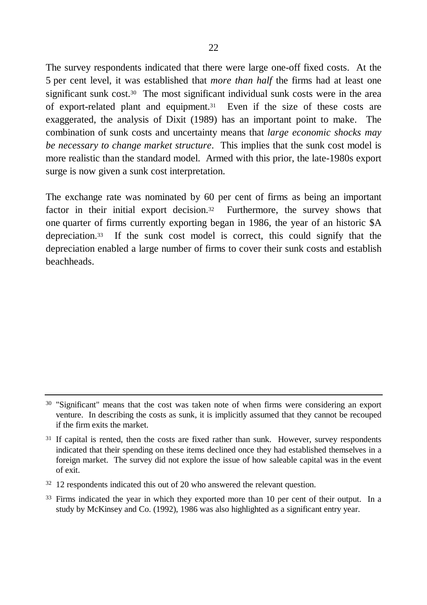The survey respondents indicated that there were large one-off fixed costs. At the 5 per cent level, it was established that *more than half* the firms had at least one significant sunk cost.<sup>30</sup> The most significant individual sunk costs were in the area of export-related plant and equipment.31 Even if the size of these costs are exaggerated, the analysis of Dixit (1989) has an important point to make. The combination of sunk costs and uncertainty means that *large economic shocks may be necessary to change market structure*. This implies that the sunk cost model is more realistic than the standard model. Armed with this prior, the late-1980s export surge is now given a sunk cost interpretation.

The exchange rate was nominated by 60 per cent of firms as being an important factor in their initial export decision.<sup>32</sup> Furthermore, the survey shows that one quarter of firms currently exporting began in 1986, the year of an historic \$A depreciation.33 If the sunk cost model is correct, this could signify that the depreciation enabled a large number of firms to cover their sunk costs and establish beachheads.

<sup>30</sup> "Significant" means that the cost was taken note of when firms were considering an export venture. In describing the costs as sunk, it is implicitly assumed that they cannot be recouped if the firm exits the market.

<sup>&</sup>lt;sup>31</sup> If capital is rented, then the costs are fixed rather than sunk. However, survey respondents indicated that their spending on these items declined once they had established themselves in a foreign market. The survey did not explore the issue of how saleable capital was in the event of exit.

<sup>32</sup> 12 respondents indicated this out of 20 who answered the relevant question.

<sup>&</sup>lt;sup>33</sup> Firms indicated the year in which they exported more than 10 per cent of their output. In a study by McKinsey and Co. (1992), 1986 was also highlighted as a significant entry year.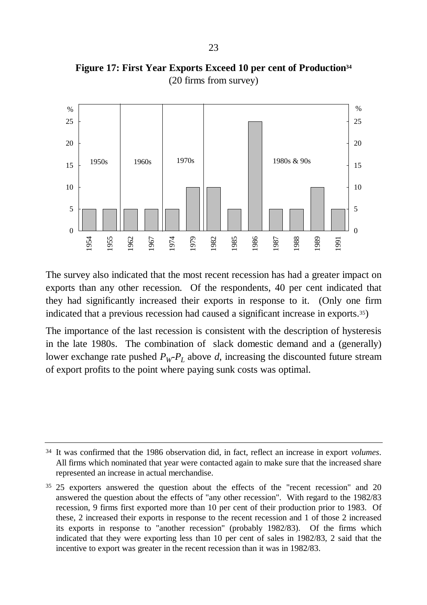

**Figure 17: First Year Exports Exceed 10 per cent of Production<sup>34</sup>** (20 firms from survey)

The survey also indicated that the most recent recession has had a greater impact on exports than any other recession. Of the respondents, 40 per cent indicated that they had significantly increased their exports in response to it. (Only one firm indicated that a previous recession had caused a significant increase in exports.35)

The importance of the last recession is consistent with the description of hysteresis in the late 1980s. The combination of slack domestic demand and a (generally) lower exchange rate pushed  $P_WP_L$  above *d*, increasing the discounted future stream of export profits to the point where paying sunk costs was optimal.

<sup>34</sup> It was confirmed that the 1986 observation did, in fact, reflect an increase in export *volumes*. All firms which nominated that year were contacted again to make sure that the increased share represented an increase in actual merchandise.

<sup>35</sup> 25 exporters answered the question about the effects of the "recent recession" and 20 answered the question about the effects of "any other recession". With regard to the 1982/83 recession, 9 firms first exported more than 10 per cent of their production prior to 1983. Of these, 2 increased their exports in response to the recent recession and 1 of those 2 increased its exports in response to "another recession" (probably 1982/83). Of the firms which indicated that they were exporting less than 10 per cent of sales in 1982/83, 2 said that the incentive to export was greater in the recent recession than it was in 1982/83.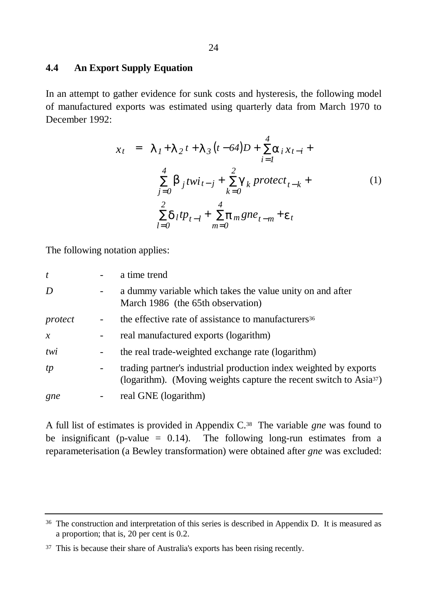#### **4.4 An Export Supply Equation**

In an attempt to gather evidence for sunk costs and hysteresis, the following model of manufactured exports was estimated using quarterly data from March 1970 to December 1992:

$$
x_{t} = \mathbf{1}_{I} + \mathbf{1}_{2}t + \mathbf{1}_{3}(t - 64)D + \sum_{i=1}^{4} a_{i}x_{t-i} + \sum_{j=0}^{4} b_{j}twi_{t-j} + \sum_{k=0}^{2} g_{k}protect_{t-k} + \sum_{l=0}^{2} d_{l}tp_{t-l} + \sum_{m=0}^{4} p_{m}gne_{t-m} + e_{t}
$$
 (1)

The following notation applies:

| $\boldsymbol{t}$ |                          | a time trend                                                                                                                                        |
|------------------|--------------------------|-----------------------------------------------------------------------------------------------------------------------------------------------------|
| D                | -                        | a dummy variable which takes the value unity on and after<br>March 1986 (the 65th observation)                                                      |
| protect          |                          | the effective rate of assistance to manufacturers <sup>36</sup>                                                                                     |
| $\mathcal{X}$    | -                        | real manufactured exports (logarithm)                                                                                                               |
| twi              |                          | the real trade-weighted exchange rate (logarithm)                                                                                                   |
| tp               | $\overline{\phantom{a}}$ | trading partner's industrial production index weighted by exports<br>(logarithm). (Moving weights capture the recent switch to Asia <sup>37</sup> ) |
| gne              |                          | real GNE (logarithm)                                                                                                                                |

A full list of estimates is provided in Appendix C.38 The variable *gne* was found to be insignificant (p-value  $= 0.14$ ). The following long-run estimates from a reparameterisation (a Bewley transformation) were obtained after *gne* was excluded:

<sup>&</sup>lt;sup>36</sup> The construction and interpretation of this series is described in Appendix D. It is measured as a proportion; that is, 20 per cent is 0.2.

<sup>&</sup>lt;sup>37</sup> This is because their share of Australia's exports has been rising recently.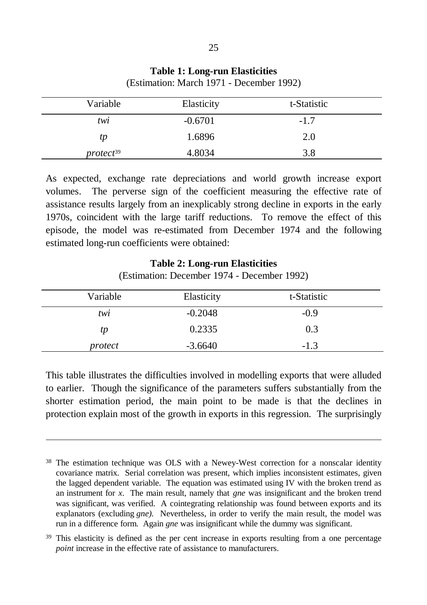| Variable              | Elasticity | t-Statistic |  |
|-----------------------|------------|-------------|--|
| twi                   | $-0.6701$  | $-1.7$      |  |
| tp                    | 1.6896     | 2.0         |  |
| protect <sup>39</sup> | 4.8034     | 3.8         |  |

**Table 1: Long-run Elasticities** (Estimation: March 1971 - December 1992)

As expected, exchange rate depreciations and world growth increase export volumes. The perverse sign of the coefficient measuring the effective rate of assistance results largely from an inexplicably strong decline in exports in the early 1970s, coincident with the large tariff reductions. To remove the effect of this episode, the model was re-estimated from December 1974 and the following estimated long-run coefficients were obtained:

#### **Table 2: Long-run Elasticities** (Estimation: December 1974 - December 1992)

| Variable | Elasticity | t-Statistic |  |
|----------|------------|-------------|--|
| twi      | $-0.2048$  | $-0.9$      |  |
| tp       | 0.2335     | 0.3         |  |
| protect  | $-3.6640$  | $-1.3$      |  |

This table illustrates the difficulties involved in modelling exports that were alluded to earlier. Though the significance of the parameters suffers substantially from the shorter estimation period, the main point to be made is that the declines in protection explain most of the growth in exports in this regression. The surprisingly

 $\overline{a}$ 

<sup>&</sup>lt;sup>38</sup> The estimation technique was OLS with a Newey-West correction for a nonscalar identity covariance matrix. Serial correlation was present, which implies inconsistent estimates, given the lagged dependent variable. The equation was estimated using IV with the broken trend as an instrument for *x*. The main result, namely that *gne* was insignificant and the broken trend was significant, was verified. A cointegrating relationship was found between exports and its explanators (excluding *gne).* Nevertheless, in order to verify the main result, the model was run in a difference form. Again *gne* was insignificant while the dummy was significant.

<sup>&</sup>lt;sup>39</sup> This elasticity is defined as the per cent increase in exports resulting from a one percentage *point* increase in the effective rate of assistance to manufacturers.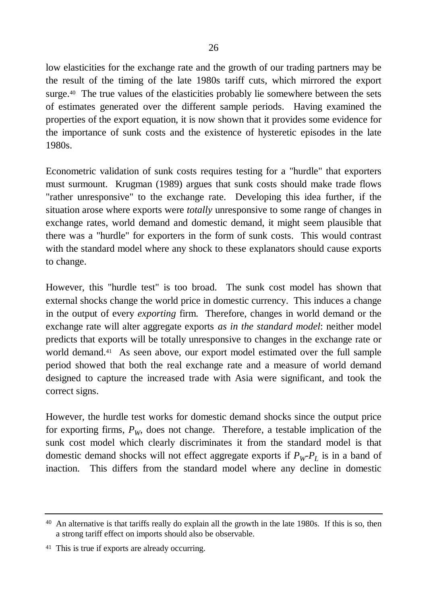low elasticities for the exchange rate and the growth of our trading partners may be the result of the timing of the late 1980s tariff cuts, which mirrored the export surge.40 The true values of the elasticities probably lie somewhere between the sets of estimates generated over the different sample periods. Having examined the properties of the export equation, it is now shown that it provides some evidence for the importance of sunk costs and the existence of hysteretic episodes in the late 1980s.

Econometric validation of sunk costs requires testing for a "hurdle" that exporters must surmount. Krugman (1989) argues that sunk costs should make trade flows "rather unresponsive" to the exchange rate. Developing this idea further, if the situation arose where exports were *totally* unresponsive to some range of changes in exchange rates, world demand and domestic demand, it might seem plausible that there was a "hurdle" for exporters in the form of sunk costs. This would contrast with the standard model where any shock to these explanators should cause exports to change.

However, this "hurdle test" is too broad. The sunk cost model has shown that external shocks change the world price in domestic currency. This induces a change in the output of every *exporting* firm. Therefore, changes in world demand or the exchange rate will alter aggregate exports *as in the standard model*: neither model predicts that exports will be totally unresponsive to changes in the exchange rate or world demand.<sup>41</sup> As seen above, our export model estimated over the full sample period showed that both the real exchange rate and a measure of world demand designed to capture the increased trade with Asia were significant, and took the correct signs.

However, the hurdle test works for domestic demand shocks since the output price for exporting firms,  $P_W$ , does not change. Therefore, a testable implication of the sunk cost model which clearly discriminates it from the standard model is that domestic demand shocks will not effect aggregate exports if  $P_W P_L$  is in a band of inaction. This differs from the standard model where any decline in domestic

<sup>&</sup>lt;sup>40</sup> An alternative is that tariffs really do explain all the growth in the late 1980s. If this is so, then a strong tariff effect on imports should also be observable.

<sup>41</sup> This is true if exports are already occurring.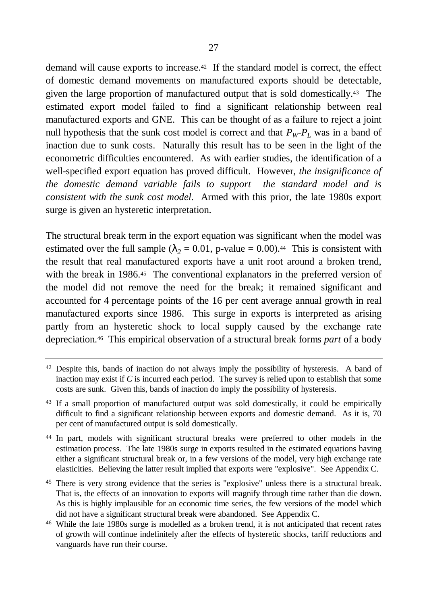demand will cause exports to increase.42 If the standard model is correct, the effect of domestic demand movements on manufactured exports should be detectable, given the large proportion of manufactured output that is sold domestically.43 The estimated export model failed to find a significant relationship between real manufactured exports and GNE. This can be thought of as a failure to reject a joint null hypothesis that the sunk cost model is correct and that  $P_W P_L$  was in a band of inaction due to sunk costs. Naturally this result has to be seen in the light of the econometric difficulties encountered. As with earlier studies, the identification of a well-specified export equation has proved difficult. However, *the insignificance of the domestic demand variable fails to support the standard model and is consistent with the sunk cost model.* Armed with this prior, the late 1980s export surge is given an hysteretic interpretation.

The structural break term in the export equation was significant when the model was estimated over the full sample  $(l_2 = 0.01, p-value = 0.00)$ .<sup>44</sup> This is consistent with the result that real manufactured exports have a unit root around a broken trend, with the break in 1986.<sup>45</sup> The conventional explanators in the preferred version of the model did not remove the need for the break; it remained significant and accounted for 4 percentage points of the 16 per cent average annual growth in real manufactured exports since 1986. This surge in exports is interpreted as arising partly from an hysteretic shock to local supply caused by the exchange rate depreciation.46 This empirical observation of a structural break forms *part* of a body

<sup>&</sup>lt;sup>42</sup> Despite this, bands of inaction do not always imply the possibility of hysteresis. A band of inaction may exist if *C* is incurred each period. The survey is relied upon to establish that some costs are sunk. Given this, bands of inaction do imply the possibility of hysteresis.

<sup>&</sup>lt;sup>43</sup> If a small proportion of manufactured output was sold domestically, it could be empirically difficult to find a significant relationship between exports and domestic demand. As it is, 70 per cent of manufactured output is sold domestically.

<sup>44</sup> In part, models with significant structural breaks were preferred to other models in the estimation process. The late 1980s surge in exports resulted in the estimated equations having either a significant structural break or, in a few versions of the model, very high exchange rate elasticities. Believing the latter result implied that exports were "explosive". See Appendix C.

<sup>&</sup>lt;sup>45</sup> There is very strong evidence that the series is "explosive" unless there is a structural break. That is, the effects of an innovation to exports will magnify through time rather than die down. As this is highly implausible for an economic time series, the few versions of the model which did not have a significant structural break were abandoned. See Appendix C.

<sup>46</sup> While the late 1980s surge is modelled as a broken trend, it is not anticipated that recent rates of growth will continue indefinitely after the effects of hysteretic shocks, tariff reductions and vanguards have run their course.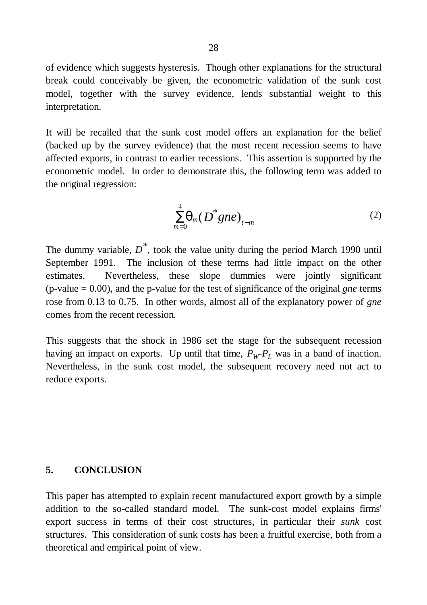of evidence which suggests hysteresis. Though other explanations for the structural break could conceivably be given, the econometric validation of the sunk cost model, together with the survey evidence, lends substantial weight to this interpretation.

It will be recalled that the sunk cost model offers an explanation for the belief (backed up by the survey evidence) that the most recent recession seems to have affected exports, in contrast to earlier recessions. This assertion is supported by the econometric model. In order to demonstrate this, the following term was added to the original regression:

$$
\sum_{m=0}^{4} \boldsymbol{q}_m(\boldsymbol{D}^* \boldsymbol{g} n \boldsymbol{e})_{t-m} \tag{2}
$$

The dummy variable, *D \**, took the value unity during the period March 1990 until September 1991. The inclusion of these terms had little impact on the other estimates. Nevertheless, these slope dummies were jointly significant (p-value = 0.00), and the p-value for the test of significance of the original *gne* terms rose from 0.13 to 0.75. In other words, almost all of the explanatory power of *gne* comes from the recent recession.

This suggests that the shock in 1986 set the stage for the subsequent recession having an impact on exports. Up until that time,  $P_W P_L$  was in a band of inaction. Nevertheless, in the sunk cost model, the subsequent recovery need not act to reduce exports.

#### **5. CONCLUSION**

This paper has attempted to explain recent manufactured export growth by a simple addition to the so-called standard model. The sunk-cost model explains firms' export success in terms of their cost structures, in particular their *sunk* cost structures. This consideration of sunk costs has been a fruitful exercise, both from a theoretical and empirical point of view.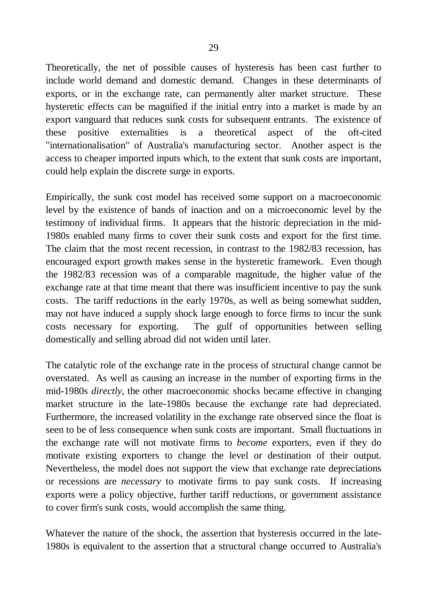Theoretically, the net of possible causes of hysteresis has been cast further to include world demand and domestic demand. Changes in these determinants of exports, or in the exchange rate, can permanently alter market structure. These hysteretic effects can be magnified if the initial entry into a market is made by an export vanguard that reduces sunk costs for subsequent entrants. The existence of these positive externalities is a theoretical aspect of the oft-cited "internationalisation" of Australia's manufacturing sector. Another aspect is the access to cheaper imported inputs which, to the extent that sunk costs are important, could help explain the discrete surge in exports.

Empirically, the sunk cost model has received some support on a macroeconomic level by the existence of bands of inaction and on a microeconomic level by the testimony of individual firms. It appears that the historic depreciation in the mid-1980s enabled many firms to cover their sunk costs and export for the first time. The claim that the most recent recession, in contrast to the 1982/83 recession, has encouraged export growth makes sense in the hysteretic framework. Even though the 1982/83 recession was of a comparable magnitude, the higher value of the exchange rate at that time meant that there was insufficient incentive to pay the sunk costs. The tariff reductions in the early 1970s, as well as being somewhat sudden, may not have induced a supply shock large enough to force firms to incur the sunk costs necessary for exporting. The gulf of opportunities between selling domestically and selling abroad did not widen until later.

The catalytic role of the exchange rate in the process of structural change cannot be overstated. As well as causing an increase in the number of exporting firms in the mid-1980s *directly*, the other macroeconomic shocks became effective in changing market structure in the late-1980s because the exchange rate had depreciated. Furthermore, the increased volatility in the exchange rate observed since the float is seen to be of less consequence when sunk costs are important. Small fluctuations in the exchange rate will not motivate firms to *become* exporters, even if they do motivate existing exporters to change the level or destination of their output. Nevertheless, the model does not support the view that exchange rate depreciations or recessions are *necessary* to motivate firms to pay sunk costs. If increasing exports were a policy objective, further tariff reductions, or government assistance to cover firm's sunk costs, would accomplish the same thing.

Whatever the nature of the shock, the assertion that hysteresis occurred in the late-1980s is equivalent to the assertion that a structural change occurred to Australia's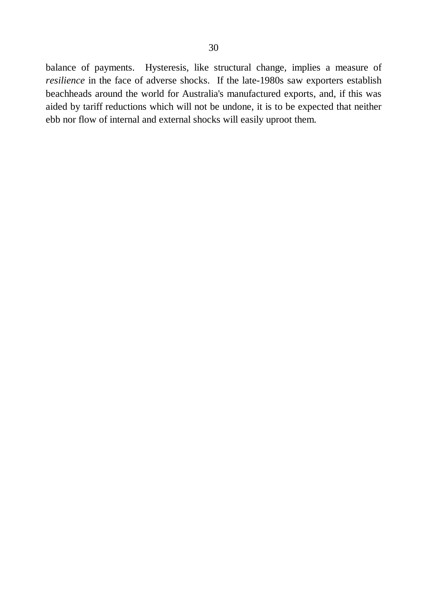balance of payments. Hysteresis, like structural change, implies a measure of *resilience* in the face of adverse shocks. If the late-1980s saw exporters establish beachheads around the world for Australia's manufactured exports, and, if this was aided by tariff reductions which will not be undone, it is to be expected that neither ebb nor flow of internal and external shocks will easily uproot them.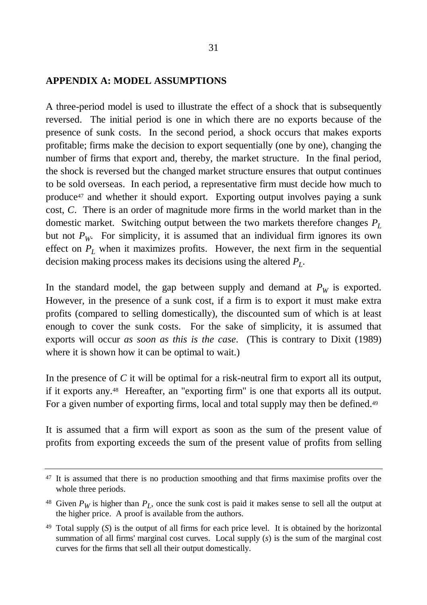#### **APPENDIX A: MODEL ASSUMPTIONS**

A three-period model is used to illustrate the effect of a shock that is subsequently reversed. The initial period is one in which there are no exports because of the presence of sunk costs. In the second period, a shock occurs that makes exports profitable; firms make the decision to export sequentially (one by one), changing the number of firms that export and, thereby, the market structure. In the final period, the shock is reversed but the changed market structure ensures that output continues to be sold overseas. In each period, a representative firm must decide how much to produce47 and whether it should export. Exporting output involves paying a sunk cost, *C*. There is an order of magnitude more firms in the world market than in the domestic market. Switching output between the two markets therefore changes *P<sup>L</sup>* but not  $P_W$ . For simplicity, it is assumed that an individual firm ignores its own effect on *P<sup>L</sup>* when it maximizes profits. However, the next firm in the sequential decision making process makes its decisions using the altered *P<sup>L</sup>* .

In the standard model, the gap between supply and demand at  $P_W$  is exported. However, in the presence of a sunk cost, if a firm is to export it must make extra profits (compared to selling domestically), the discounted sum of which is at least enough to cover the sunk costs. For the sake of simplicity, it is assumed that exports will occur *as soon as this is the case*. (This is contrary to Dixit (1989) where it is shown how it can be optimal to wait.)

In the presence of *C* it will be optimal for a risk-neutral firm to export all its output, if it exports any.48 Hereafter, an "exporting firm" is one that exports all its output. For a given number of exporting firms, local and total supply may then be defined.<sup>49</sup>

It is assumed that a firm will export as soon as the sum of the present value of profits from exporting exceeds the sum of the present value of profits from selling

<sup>&</sup>lt;sup>47</sup> It is assumed that there is no production smoothing and that firms maximise profits over the whole three periods.

<sup>&</sup>lt;sup>48</sup> Given  $P_W$  is higher than  $P_L$ , once the sunk cost is paid it makes sense to sell all the output at the higher price. A proof is available from the authors.

<sup>49</sup> Total supply (*S*) is the output of all firms for each price level. It is obtained by the horizontal summation of all firms' marginal cost curves. Local supply (*s*) is the sum of the marginal cost curves for the firms that sell all their output domestically.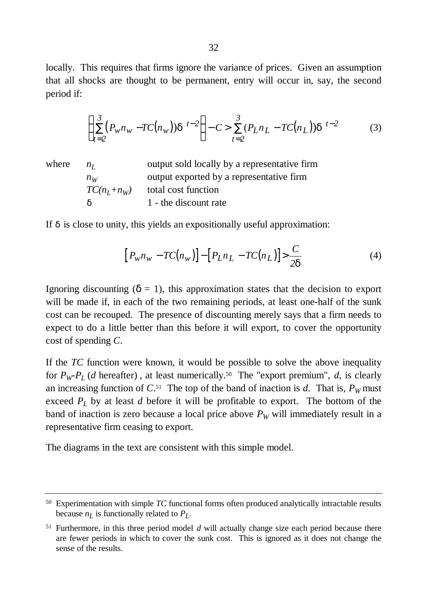locally. This requires that firms ignore the variance of prices. Given an assumption that all shocks are thought to be permanent, entry will occur in, say, the second period if:

$$
\left(\sum_{t=2}^{3} (P_{w}n_{w} - TC(n_{w}))d^{t-2}\right) - C > \sum_{t=2}^{3} (P_{L}n_{L} - TC(n_{L}))d^{t-2}
$$
(3)

where  $n_L$  output sold locally by a representative firm *n<sub>W</sub>* output exported by a representative firm  $TC(n_I + n_W)$  total cost function *d* 1 - the discount rate

If *d* is close to unity, this yields an expositionally useful approximation:

$$
[P_{w}n_{w} - TC(n_{w})] - [P_{L}n_{L} - TC(n_{L})] > \frac{C}{2d}
$$
\n
$$
(4)
$$

Ignoring discounting  $(d=1)$ , this approximation states that the decision to export will be made if, in each of the two remaining periods, at least one-half of the sunk cost can be recouped. The presence of discounting merely says that a firm needs to expect to do a little better than this before it will export, to cover the opportunity cost of spending *C*.

If the *TC* function were known, it would be possible to solve the above inequality for  $P_W$ - $P_L$  (*d* hereafter), at least numerically.<sup>50</sup> The "export premium", *d*, is clearly an increasing function of  $C^{51}$ . The top of the band of inaction is *d*. That is,  $P_W$  must exceed *P<sup>L</sup>* by at least *d* before it will be profitable to export. The bottom of the band of inaction is zero because a local price above  $P_W$  will immediately result in a representative firm ceasing to export.

The diagrams in the text are consistent with this simple model.

<sup>50</sup> Experimentation with simple *TC* functional forms often produced analytically intractable results because *n<sup>L</sup>* is functionally related to *P<sup>L</sup>* .

<sup>51</sup> Furthermore, in this three period model *d* will actually change size each period because there are fewer periods in which to cover the sunk cost. This is ignored as it does not change the sense of the results.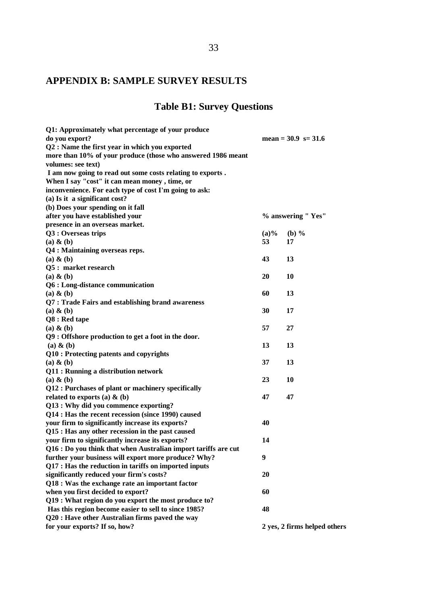## 33

# **APPENDIX B: SAMPLE SURVEY RESULTS**

# **Table B1: Survey Questions**

| Q1: Approximately what percentage of your produce<br>do you export? |         | mean = $30.9$ s= $31.6$      |
|---------------------------------------------------------------------|---------|------------------------------|
| Q2 : Name the first year in which you exported                      |         |                              |
| more than 10% of your produce (those who answered 1986 meant        |         |                              |
| volumes: see text)                                                  |         |                              |
| I am now going to read out some costs relating to exports.          |         |                              |
| When I say "cost" it can mean money, time, or                       |         |                              |
| inconvenience. For each type of cost I'm going to ask:              |         |                              |
| (a) Is it a significant cost?                                       |         |                              |
| (b) Does your spending on it fall                                   |         |                              |
| after you have established your                                     |         | % answering "Yes"            |
| presence in an overseas market.                                     |         |                              |
| Q3 : Overseas trips                                                 | $(a)\%$ | $(b)$ %                      |
| $(a)$ & $(b)$                                                       | 53      | 17                           |
| Q4 : Maintaining overseas reps.                                     |         |                              |
| $(a)$ & $(b)$                                                       | 43      | 13                           |
| Q5 : market research                                                |         |                              |
| $(a)$ & $(b)$                                                       | 20      | 10                           |
| Q6 : Long-distance communication                                    |         |                              |
| $(a)$ & $(b)$                                                       | 60      | 13                           |
| Q7 : Trade Fairs and establishing brand awareness                   |         |                              |
| $(a)$ & $(b)$                                                       | 30      | 17                           |
| Q8 : Red tape                                                       |         |                              |
| $(a)$ & $(b)$                                                       | 57      | 27                           |
| Q9 : Offshore production to get a foot in the door.                 |         |                              |
| $(a)$ & $(b)$                                                       | 13      | 13                           |
| Q10 : Protecting patents and copyrights                             |         |                              |
| $(a)$ & $(b)$                                                       | 37      | 13                           |
| Q11 : Running a distribution network                                |         |                              |
| $(a)$ & $(b)$                                                       | 23      | 10                           |
| Q12 : Purchases of plant or machinery specifically                  |         |                              |
| related to exports (a) $\&$ (b)                                     | 47      | 47                           |
| Q13 : Why did you commence exporting?                               |         |                              |
| Q14 : Has the recent recession (since 1990) caused                  |         |                              |
| your firm to significantly increase its exports?                    | 40      |                              |
| Q15 : Has any other recession in the past caused                    |         |                              |
| your firm to significantly increase its exports?                    | 14      |                              |
| Q16 : Do you think that when Australian import tariffs are cut      |         |                              |
| further your business will export more produce? Why?                | 9       |                              |
| Q17 : Has the reduction in tariffs on imported inputs               |         |                              |
| significantly reduced your firm's costs?                            | 20      |                              |
| Q18 : Was the exchange rate an important factor                     |         |                              |
| when you first decided to export?                                   | 60      |                              |
| Q19 : What region do you export the most produce to?                |         |                              |
| Has this region become easier to sell to since 1985?                | 48      |                              |
| Q20 : Have other Australian firms paved the way                     |         |                              |
| for your exports? If so, how?                                       |         | 2 yes, 2 firms helped others |
|                                                                     |         |                              |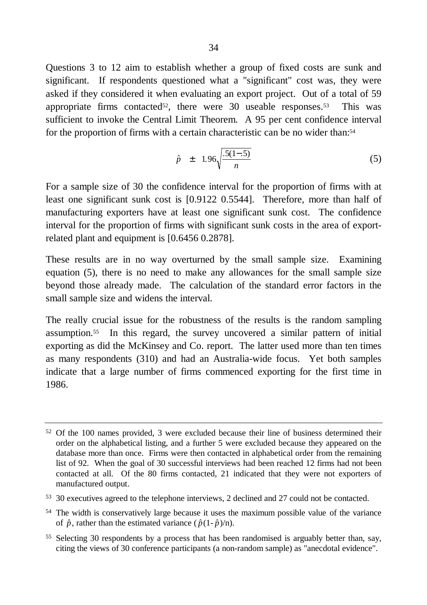Questions 3 to 12 aim to establish whether a group of fixed costs are sunk and significant. If respondents questioned what a "significant" cost was, they were asked if they considered it when evaluating an export project. Out of a total of 59 appropriate firms contacted<sup>52</sup>, there were 30 useable responses.<sup>53</sup> This was sufficient to invoke the Central Limit Theorem. A 95 per cent confidence interval for the proportion of firms with a certain characteristic can be no wider than:<sup>54</sup>

$$
\hat{p} \pm 1.96 \sqrt{\frac{.5(1-.5)}{n}} \tag{5}
$$

For a sample size of 30 the confidence interval for the proportion of firms with at least one significant sunk cost is [0.9122 0.5544]. Therefore, more than half of manufacturing exporters have at least one significant sunk cost. The confidence interval for the proportion of firms with significant sunk costs in the area of exportrelated plant and equipment is [0.6456 0.2878].

These results are in no way overturned by the small sample size. Examining equation (5), there is no need to make any allowances for the small sample size beyond those already made. The calculation of the standard error factors in the small sample size and widens the interval.

The really crucial issue for the robustness of the results is the random sampling assumption.55 In this regard, the survey uncovered a similar pattern of initial exporting as did the McKinsey and Co. report. The latter used more than ten times as many respondents (310) and had an Australia-wide focus. Yet both samples indicate that a large number of firms commenced exporting for the first time in 1986.

<sup>52</sup> Of the 100 names provided, 3 were excluded because their line of business determined their order on the alphabetical listing, and a further 5 were excluded because they appeared on the database more than once. Firms were then contacted in alphabetical order from the remaining list of 92. When the goal of 30 successful interviews had been reached 12 firms had not been contacted at all. Of the 80 firms contacted, 21 indicated that they were not exporters of manufactured output.

<sup>53</sup> 30 executives agreed to the telephone interviews, 2 declined and 27 could not be contacted.

<sup>54</sup> The width is conservatively large because it uses the maximum possible value of the variance of  $\hat{p}$ , rather than the estimated variance ( $\hat{p}(1-\hat{p})/n$ ).

<sup>55</sup> Selecting 30 respondents by a process that has been randomised is arguably better than, say, citing the views of 30 conference participants (a non-random sample) as "anecdotal evidence".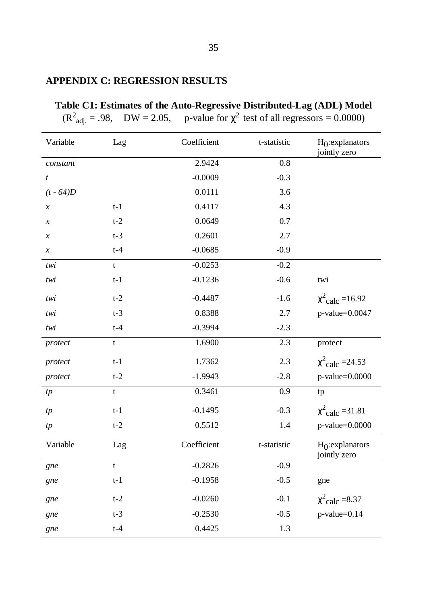# **APPENDIX C: REGRESSION RESULTS**

|                            |             | $(R^{2}_{\text{adj.}} = .98, \quad DW = 2.05, \quad$ p-value for $\chi^{2}$ test of all regressors = 0.0000) |             |                                             |
|----------------------------|-------------|--------------------------------------------------------------------------------------------------------------|-------------|---------------------------------------------|
| Variable                   | Lag         | Coefficient                                                                                                  | t-statistic | H <sub>0</sub> :explanators<br>jointly zero |
| constant                   |             | 2.9424                                                                                                       | 0.8         |                                             |
| t                          |             | $-0.0009$                                                                                                    | $-0.3$      |                                             |
| $(t - 64)D$                |             | 0.0111                                                                                                       | 3.6         |                                             |
| $\boldsymbol{\mathcal{X}}$ | $t-1$       | 0.4117                                                                                                       | 4.3         |                                             |
| $\boldsymbol{\chi}$        | $t-2$       | 0.0649                                                                                                       | 0.7         |                                             |
| $\boldsymbol{\chi}$        | $t-3$       | 0.2601                                                                                                       | 2.7         |                                             |
| $\boldsymbol{\chi}$        | $t-4$       | $-0.0685$                                                                                                    | $-0.9$      |                                             |
| twi                        | t           | $-0.0253$                                                                                                    | $-0.2$      |                                             |
| twi                        | $t-1$       | $-0.1236$                                                                                                    | $-0.6$      | twi                                         |
| twi                        | $t-2$       | $-0.4487$                                                                                                    | $-1.6$      | $\chi^{2}$ calc = 16.92                     |
| twi                        | $t-3$       | 0.8388                                                                                                       | 2.7         | $p$ -value=0.0047                           |
| twi                        | $t-4$       | $-0.3994$                                                                                                    | $-2.3$      |                                             |
| protect                    | t           | 1.6900                                                                                                       | 2.3         | protect                                     |
| protect                    | $t-1$       | 1.7362                                                                                                       | 2.3         | $\chi^{2}$ calc = 24.53                     |
| protect                    | $t-2$       | $-1.9943$                                                                                                    | $-2.8$      | $p$ -value= $0.0000$                        |
| tp                         | $\mathbf t$ | 0.3461                                                                                                       | 0.9         | tp                                          |
| tp                         | $t-1$       | $-0.1495$                                                                                                    | $-0.3$      | $\chi^{2}$ calc = 31.81                     |
| tp                         | $t-2$       | 0.5512                                                                                                       | 1.4         | $p$ -value=0.0000                           |
| Variable                   | Lag         | Coefficient                                                                                                  | t-statistic | H <sub>0</sub> :explanators<br>jointly zero |
| gne                        | $\mathbf t$ | $-0.2826$                                                                                                    | $-0.9$      |                                             |
| gne                        | $t-1$       | $-0.1958$                                                                                                    | $-0.5$      | gne                                         |
| gne                        | $t-2$       | $-0.0260$                                                                                                    | $-0.1$      | $\chi^2$ calc =8.37                         |
| gne                        | $t-3$       | $-0.2530$                                                                                                    | $-0.5$      | $p$ -value=0.14                             |
| gne                        | $t-4$       | 0.4425                                                                                                       | 1.3         |                                             |

# **Table C1: Estimates of the Auto-Regressive Distributed-Lag (ADL) Model**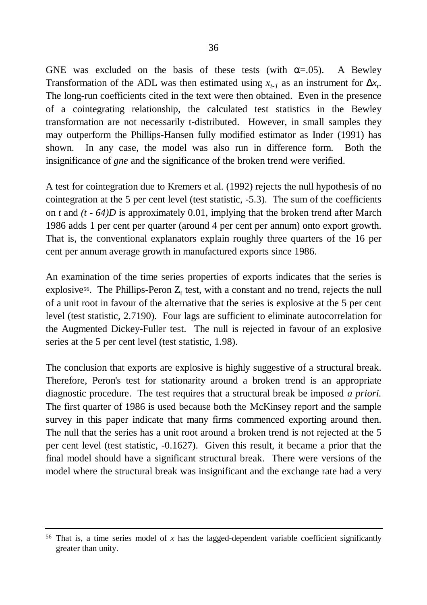GNE was excluded on the basis of these tests (with  $\alpha = .05$ ). A Bewley Transformation of the ADL was then estimated using  $x_{t-1}$  as an instrument for  $D x_t$ . The long-run coefficients cited in the text were then obtained. Even in the presence of a cointegrating relationship, the calculated test statistics in the Bewley transformation are not necessarily t-distributed. However, in small samples they may outperform the Phillips-Hansen fully modified estimator as Inder (1991) has shown. In any case, the model was also run in difference form. Both the insignificance of *gne* and the significance of the broken trend were verified.

A test for cointegration due to Kremers et al. (1992) rejects the null hypothesis of no cointegration at the 5 per cent level (test statistic, -5.3). The sum of the coefficients on *t* and *(t - 64)D* is approximately 0.01, implying that the broken trend after March 1986 adds 1 per cent per quarter (around 4 per cent per annum) onto export growth. That is, the conventional explanators explain roughly three quarters of the 16 per cent per annum average growth in manufactured exports since 1986.

An examination of the time series properties of exports indicates that the series is explosive<sup>56</sup>. The Phillips-Peron  $Z_t$  test, with a constant and no trend, rejects the null of a unit root in favour of the alternative that the series is explosive at the 5 per cent level (test statistic, 2.7190). Four lags are sufficient to eliminate autocorrelation for the Augmented Dickey-Fuller test. The null is rejected in favour of an explosive series at the 5 per cent level (test statistic, 1.98).

The conclusion that exports are explosive is highly suggestive of a structural break. Therefore, Peron's test for stationarity around a broken trend is an appropriate diagnostic procedure. The test requires that a structural break be imposed *a priori.* The first quarter of 1986 is used because both the McKinsey report and the sample survey in this paper indicate that many firms commenced exporting around then. The null that the series has a unit root around a broken trend is not rejected at the 5 per cent level (test statistic, -0.1627). Given this result, it became a prior that the final model should have a significant structural break. There were versions of the model where the structural break was insignificant and the exchange rate had a very

 $56$  That is, a time series model of  $x$  has the lagged-dependent variable coefficient significantly greater than unity.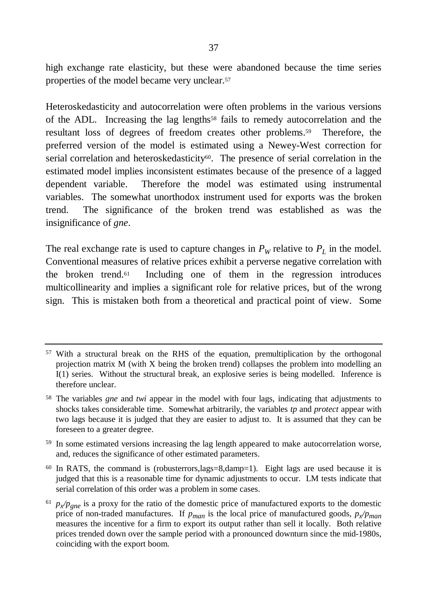high exchange rate elasticity, but these were abandoned because the time series properties of the model became very unclear.<sup>57</sup>

Heteroskedasticity and autocorrelation were often problems in the various versions of the ADL. Increasing the lag lengths58 fails to remedy autocorrelation and the resultant loss of degrees of freedom creates other problems.59 Therefore, the preferred version of the model is estimated using a Newey-West correction for serial correlation and heteroskedasticity<sup>60</sup>. The presence of serial correlation in the estimated model implies inconsistent estimates because of the presence of a lagged dependent variable. Therefore the model was estimated using instrumental variables. The somewhat unorthodox instrument used for exports was the broken trend. The significance of the broken trend was established as was the insignificance of *gne*.

The real exchange rate is used to capture changes in  $P_W$  relative to  $P_L$  in the model. Conventional measures of relative prices exhibit a perverse negative correlation with the broken trend.61 Including one of them in the regression introduces multicollinearity and implies a significant role for relative prices, but of the wrong sign. This is mistaken both from a theoretical and practical point of view. Some

<sup>57</sup> With a structural break on the RHS of the equation, premultiplication by the orthogonal projection matrix M (with X being the broken trend) collapses the problem into modelling an I(1) series. Without the structural break, an explosive series is being modelled. Inference is therefore unclear.

<sup>58</sup> The variables *gne* and *twi* appear in the model with four lags, indicating that adjustments to shocks takes considerable time. Somewhat arbitrarily, the variables *tp* and *protect* appear with two lags because it is judged that they are easier to adjust to. It is assumed that they can be foreseen to a greater degree.

<sup>59</sup> In some estimated versions increasing the lag length appeared to make autocorrelation worse, and, reduces the significance of other estimated parameters.

 $60$  In RATS, the command is (robusterrors, lags=8, damp=1). Eight lags are used because it is judged that this is a reasonable time for dynamic adjustments to occur. LM tests indicate that serial correlation of this order was a problem in some cases.

 $^{61}$   $p_x/p_{gne}$  is a proxy for the ratio of the domestic price of manufactured exports to the domestic price of non-traded manufactures. If *pman* is the local price of manufactured goods, *p<sup>x</sup> /pman* measures the incentive for a firm to export its output rather than sell it locally. Both relative prices trended down over the sample period with a pronounced downturn since the mid-1980s, coinciding with the export boom.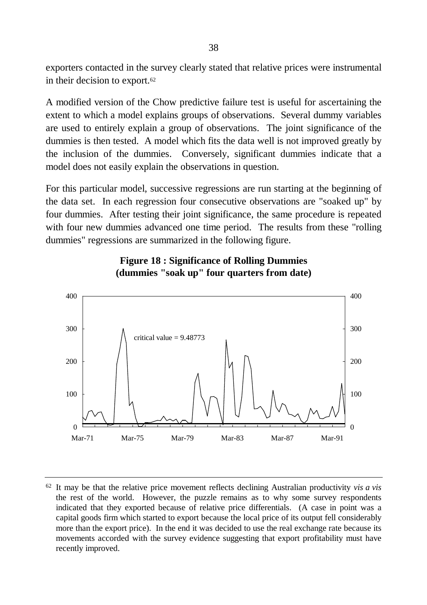exporters contacted in the survey clearly stated that relative prices were instrumental in their decision to export.<sup>62</sup>

A modified version of the Chow predictive failure test is useful for ascertaining the extent to which a model explains groups of observations. Several dummy variables are used to entirely explain a group of observations. The joint significance of the dummies is then tested. A model which fits the data well is not improved greatly by the inclusion of the dummies. Conversely, significant dummies indicate that a model does not easily explain the observations in question.

For this particular model, successive regressions are run starting at the beginning of the data set. In each regression four consecutive observations are "soaked up" by four dummies. After testing their joint significance, the same procedure is repeated with four new dummies advanced one time period. The results from these "rolling dummies" regressions are summarized in the following figure.



## **Figure 18 : Significance of Rolling Dummies (dummies "soak up" four quarters from date)**

<sup>62</sup> It may be that the relative price movement reflects declining Australian productivity *vis a vis* the rest of the world. However, the puzzle remains as to why some survey respondents indicated that they exported because of relative price differentials. (A case in point was a capital goods firm which started to export because the local price of its output fell considerably more than the export price). In the end it was decided to use the real exchange rate because its movements accorded with the survey evidence suggesting that export profitability must have recently improved.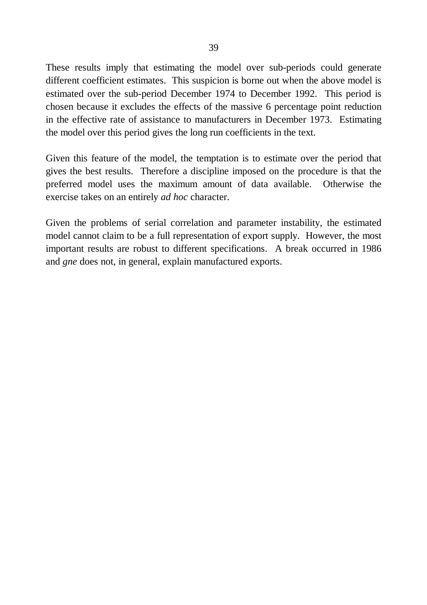These results imply that estimating the model over sub-periods could generate different coefficient estimates. This suspicion is borne out when the above model is estimated over the sub-period December 1974 to December 1992. This period is chosen because it excludes the effects of the massive 6 percentage point reduction in the effective rate of assistance to manufacturers in December 1973. Estimating the model over this period gives the long run coefficients in the text.

Given this feature of the model, the temptation is to estimate over the period that gives the best results. Therefore a discipline imposed on the procedure is that the preferred model uses the maximum amount of data available. Otherwise the exercise takes on an entirely *ad hoc* character.

Given the problems of serial correlation and parameter instability, the estimated model cannot claim to be a full representation of export supply. However, the most important results are robust to different specifications. A break occurred in 1986 and *gne* does not, in general, explain manufactured exports.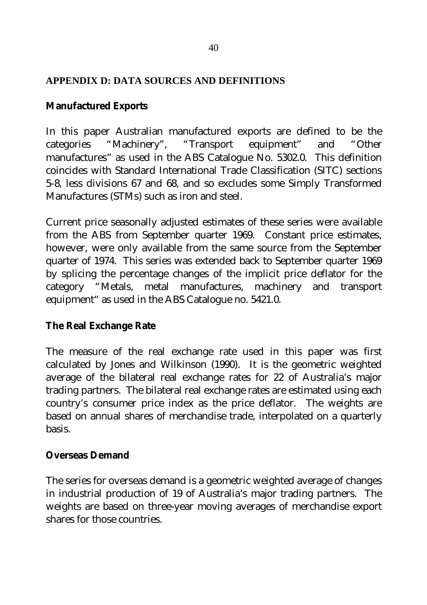## **APPENDIX D: DATA SOURCES AND DEFINITIONS**

### **Manufactured Exports**

In this paper Australian manufactured exports are defined to be the categories "Machinery", "Transport equipment" and "Other manufactures" as used in the ABS Catalogue No. 5302.0. This definition coincides with Standard International Trade Classification (SITC) sections 5-8, less divisions 67 and 68, and so excludes some Simply Transformed Manufactures (STMs) such as iron and steel.

Current price seasonally adjusted estimates of these series were available from the ABS from September quarter 1969. Constant price estimates, however, were only available from the same source from the September quarter of 1974. This series was extended back to September quarter 1969 by splicing the percentage changes of the implicit price deflator for the category "Metals, metal manufactures, machinery and transport equipment" as used in the ABS Catalogue no. 5421.0.

## **The Real Exchange Rate**

The measure of the real exchange rate used in this paper was first calculated by Jones and Wilkinson (1990). It is the geometric weighted average of the bilateral real exchange rates for 22 of Australia's major trading partners. The bilateral real exchange rates are estimated using each country's consumer price index as the price deflator. The weights are based on annual shares of merchandise trade, interpolated on a quarterly basis.

### **Overseas Demand**

The series for overseas demand is a geometric weighted average of changes in industrial production of 19 of Australia's major trading partners. The weights are based on three-year moving averages of merchandise export shares for those countries.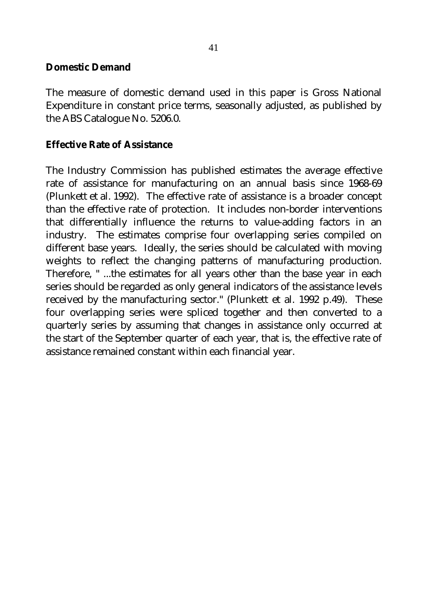#### **Domestic Demand**

The measure of domestic demand used in this paper is Gross National Expenditure in constant price terms, seasonally adjusted, as published by the ABS Catalogue No. 5206.0.

### **Effective Rate of Assistance**

The Industry Commission has published estimates the average effective rate of assistance for manufacturing on an annual basis since 1968-69 (Plunkett et al. 1992). The effective rate of assistance is a broader concept than the effective rate of protection. It includes non-border interventions that differentially influence the returns to value-adding factors in an industry. The estimates comprise four overlapping series compiled on different base years. Ideally, the series should be calculated with moving weights to reflect the changing patterns of manufacturing production. Therefore, " ...the estimates for all years other than the base year in each series should be regarded as only general indicators of the assistance levels received by the manufacturing sector." (Plunkett et al. 1992 p.49). These four overlapping series were spliced together and then converted to a quarterly series by assuming that changes in assistance only occurred at the start of the September quarter of each year, that is, the effective rate of assistance remained constant within each financial year.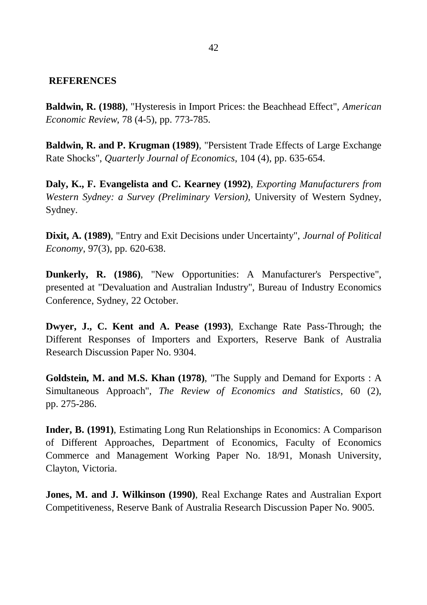#### **REFERENCES**

**Baldwin, R. (1988)**, "Hysteresis in Import Prices: the Beachhead Effect", *American Economic Review*, 78 (4-5), pp. 773-785.

**Baldwin, R. and P. Krugman (1989)**, "Persistent Trade Effects of Large Exchange Rate Shocks", *Quarterly Journal of Economics*, 104 (4), pp. 635-654.

**Daly, K., F. Evangelista and C. Kearney (1992)**, *Exporting Manufacturers from Western Sydney: a Survey (Preliminary Version)*, University of Western Sydney, Sydney.

**Dixit, A. (1989)**, "Entry and Exit Decisions under Uncertainty", *Journal of Political Economy*, 97(3), pp. 620-638.

**Dunkerly, R. (1986)**, "New Opportunities: A Manufacturer's Perspective", presented at "Devaluation and Australian Industry", Bureau of Industry Economics Conference, Sydney, 22 October.

**Dwyer, J., C. Kent and A. Pease (1993)**, Exchange Rate Pass-Through; the Different Responses of Importers and Exporters, Reserve Bank of Australia Research Discussion Paper No. 9304.

**Goldstein, M. and M.S. Khan (1978)**, "The Supply and Demand for Exports : A Simultaneous Approach", *The Review of Economics and Statistics*, 60 (2), pp. 275-286.

**Inder, B. (1991)**, Estimating Long Run Relationships in Economics: A Comparison of Different Approaches, Department of Economics, Faculty of Economics Commerce and Management Working Paper No. 18/91, Monash University, Clayton, Victoria.

**Jones, M. and J. Wilkinson (1990)**, Real Exchange Rates and Australian Export Competitiveness, Reserve Bank of Australia Research Discussion Paper No. 9005.